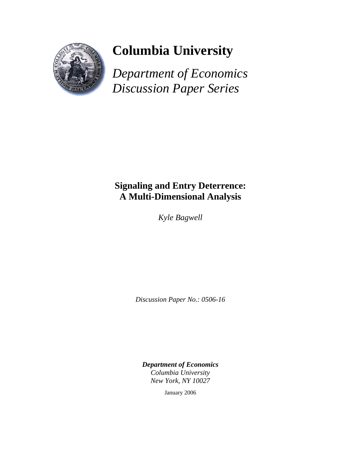

## **Columbia University**

*Department of Economics Discussion Paper Series*

## **Signaling and Entry Deterrence: A Multi-Dimensional Analysis**

*Kyle Bagwell* 

*Discussion Paper No.: 0506-16* 

*Department of Economics Columbia University New York, NY 10027* 

January 2006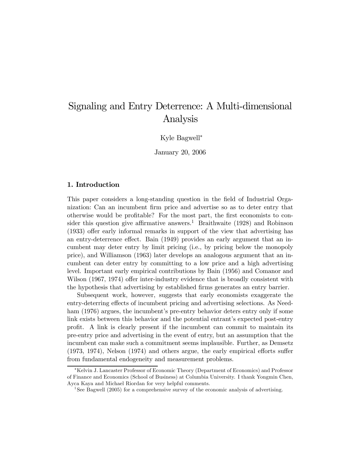### Signaling and Entry Deterrence: A Multi-dimensional Analysis

Kyle Bagwell<sup>∗</sup>

January 20, 2006

#### 1. Introduction

This paper considers a long-standing question in the field of Industrial Organization: Can an incumbent firm price and advertise so as to deter entry that otherwise would be profitable? For the most part, the first economists to consider this question give affirmative answers.<sup>1</sup> Braithwaite (1928) and Robinson (1933) offer early informal remarks in support of the view that advertising has an entry-deterrence effect. Bain (1949) provides an early argument that an incumbent may deter entry by limit pricing (i.e., by pricing below the monopoly price), and Williamson (1963) later develops an analogous argument that an incumbent can deter entry by committing to a low price and a high advertising level. Important early empirical contributions by Bain (1956) and Comanor and Wilson (1967, 1974) offer inter-industry evidence that is broadly consistent with the hypothesis that advertising by established firms generates an entry barrier.

Subsequent work, however, suggests that early economists exaggerate the entry-deterring effects of incumbent pricing and advertising selections. As Needham (1976) argues, the incumbent's pre-entry behavior deters entry only if some link exists between this behavior and the potential entrant's expected post-entry profit. A link is clearly present if the incumbent can commit to maintain its pre-entry price and advertising in the event of entry, but an assumption that the incumbent can make such a commitment seems implausible. Further, as Demsetz (1973, 1974), Nelson (1974) and others argue, the early empirical efforts suffer from fundamental endogeneity and measurement problems.

<sup>∗</sup>Kelvin J. Lancaster Professor of Economic Theory (Department of Economics) and Professor of Finance and Economics (School of Business) at Columbia University. I thank Yongmin Chen, Ayca Kaya and Michael Riordan for very helpful comments.

<sup>&</sup>lt;sup>1</sup>See Bagwell (2005) for a comprehensive survey of the economic analysis of advertising.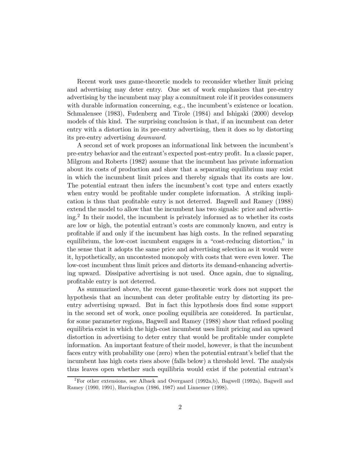Recent work uses game-theoretic models to reconsider whether limit pricing and advertising may deter entry. One set of work emphasizes that pre-entry advertising by the incumbent may play a commitment role if it provides consumers with durable information concerning, e.g., the incumbent's existence or location. Schmalensee (1983), Fudenberg and Tirole (1984) and Ishigaki (2000) develop models of this kind. The surprising conclusion is that, if an incumbent can deter entry with a distortion in its pre-entry advertising, then it does so by distorting its pre-entry advertising downward.

A second set of work proposes an informational link between the incumbent's pre-entry behavior and the entrant's expected post-entry profit. In a classic paper, Milgrom and Roberts (1982) assume that the incumbent has private information about its costs of production and show that a separating equilibrium may exist in which the incumbent limit prices and thereby signals that its costs are low. The potential entrant then infers the incumbent's cost type and enters exactly when entry would be profitable under complete information. A striking implication is thus that profitable entry is not deterred. Bagwell and Ramey (1988) extend the model to allow that the incumbent has two signals: price and advertising.2 In their model, the incumbent is privately informed as to whether its costs are low or high, the potential entrant's costs are commonly known, and entry is profitable if and only if the incumbent has high costs. In the refined separating equilibrium, the low-cost incumbent engages in a "cost-reducing distortion," in the sense that it adopts the same price and advertising selection as it would were it, hypothetically, an uncontested monopoly with costs that were even lower. The low-cost incumbent thus limit prices and distorts its demand-enhancing advertising upward. Dissipative advertising is not used. Once again, due to signaling, profitable entry is not deterred.

As summarized above, the recent game-theoretic work does not support the hypothesis that an incumbent can deter profitable entry by distorting its preentry advertising upward. But in fact this hypothesis does find some support in the second set of work, once pooling equilibria are considered. In particular, for some parameter regions, Bagwell and Ramey (1988) show that refined pooling equilibria exist in which the high-cost incumbent uses limit pricing and an upward distortion in advertising to deter entry that would be profitable under complete information. An important feature of their model, however, is that the incumbent faces entry with probability one (zero) when the potential entrant's belief that the incumbent has high costs rises above (falls below) a threshold level. The analysis thus leaves open whether such equilibria would exist if the potential entrant's

<sup>&</sup>lt;sup>2</sup>For other extensions, see Albaek and Overgaard (1992a,b), Bagwell (1992a), Bagwell and Ramey (1990, 1991), Harrington (1986, 1987) and Linnemer (1998).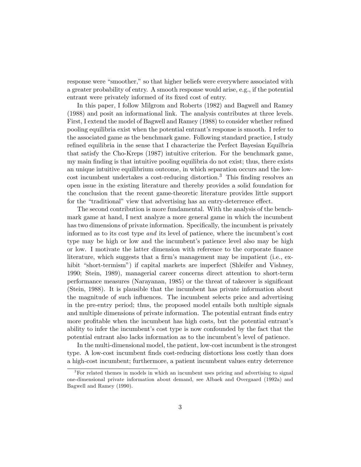response were "smoother," so that higher beliefs were everywhere associated with a greater probability of entry. A smooth response would arise, e.g., if the potential entrant were privately informed of its fixed cost of entry.

In this paper, I follow Milgrom and Roberts (1982) and Bagwell and Ramey (1988) and posit an informational link. The analysis contributes at three levels. First, I extend the model of Bagwell and Ramey (1988) to consider whether refined pooling equilibria exist when the potential entrant's response is smooth. I refer to the associated game as the benchmark game. Following standard practice, I study refined equilibria in the sense that I characterize the Perfect Bayesian Equilbria that satisfy the Cho-Kreps (1987) intuitive criterion. For the benchmark game, my main finding is that intuitive pooling equilibria do not exist; thus, there exists an unique intuitive equilibrium outcome, in which separation occurs and the low- $\cot$  incumbent undertakes a cost-reducing distortion.<sup>3</sup> This finding resolves an open issue in the existing literature and thereby provides a solid foundation for the conclusion that the recent game-theoretic literature provides little support for the "traditional" view that advertising has an entry-deterrence effect.

The second contribution is more fundamental. With the analysis of the benchmark game at hand, I next analyze a more general game in which the incumbent has two dimensions of private information. Specifically, the incumbent is privately informed as to its cost type and its level of patience, where the incumbent's cost type may be high or low and the incumbent's patience level also may be high or low. I motivate the latter dimension with reference to the corporate finance literature, which suggests that a firm's management may be impatient (i.e., exhibit "short-termism") if capital markets are imperfect (Shleifer and Vishney, 1990; Stein, 1989), managerial career concerns direct attention to short-term performance measures (Narayanan, 1985) or the threat of takeover is significant (Stein, 1988). It is plausible that the incumbent has private information about the magnitude of such influences. The incumbent selects price and advertising in the pre-entry period; thus, the proposed model entails both multiple signals and multiple dimensions of private information. The potential entrant finds entry more profitable when the incumbent has high costs, but the potential entrant's ability to infer the incumbent's cost type is now confounded by the fact that the potential entrant also lacks information as to the incumbent's level of patience.

In the multi-dimensional model, the patient, low-cost incumbent is the strongest type. A low-cost incumbent finds cost-reducing distortions less costly than does a high-cost incumbent; furthermore, a patient incumbent values entry deterrence

<sup>&</sup>lt;sup>3</sup>For related themes in models in which an incumbent uses pricing and advertising to signal one-dimensional private information about demand, see Albaek and Overgaard (1992a) and Bagwell and Ramey (1990).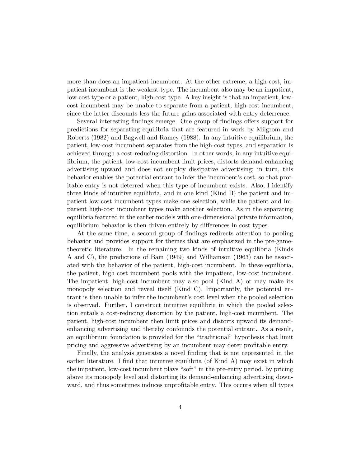more than does an impatient incumbent. At the other extreme, a high-cost, impatient incumbent is the weakest type. The incumbent also may be an impatient, low-cost type or a patient, high-cost type. A key insight is that an impatient, lowcost incumbent may be unable to separate from a patient, high-cost incumbent, since the latter discounts less the future gains associated with entry deterrence.

Several interesting findings emerge. One group of findings offers support for predictions for separating equilibria that are featured in work by Milgrom and Roberts (1982) and Bagwell and Ramey (1988). In any intuitive equilibrium, the patient, low-cost incumbent separates from the high-cost types, and separation is achieved through a cost-reducing distortion. In other words, in any intuitive equilibrium, the patient, low-cost incumbent limit prices, distorts demand-enhancing advertising upward and does not employ dissipative advertising; in turn, this behavior enables the potential entrant to infer the incumbent's cost, so that profitable entry is not deterred when this type of incumbent exists. Also, I identify three kinds of intuitive equilibria, and in one kind (Kind B) the patient and impatient low-cost incumbent types make one selection, while the patient and impatient high-cost incumbent types make another selection. As in the separating equilibria featured in the earlier models with one-dimensional private information, equilibrium behavior is then driven entirely by differences in cost types.

At the same time, a second group of findings redirects attention to pooling behavior and provides support for themes that are emphasized in the pre-gametheoretic literature. In the remaining two kinds of intuitive equilibria (Kinds A and C), the predictions of Bain (1949) and Williamson (1963) can be associated with the behavior of the patient, high-cost incumbent. In these equilibria, the patient, high-cost incumbent pools with the impatient, low-cost incumbent. The impatient, high-cost incumbent may also pool (Kind A) or may make its monopoly selection and reveal itself (Kind C). Importantly, the potential entrant is then unable to infer the incumbent's cost level when the pooled selection is observed. Further, I construct intuitive equilibria in which the pooled selection entails a cost-reducing distortion by the patient, high-cost incumbent. The patient, high-cost incumbent then limit prices and distorts upward its demandenhancing advertising and thereby confounds the potential entrant. As a result, an equilibrium foundation is provided for the "traditional" hypothesis that limit pricing and aggressive advertising by an incumbent may deter profitable entry.

Finally, the analysis generates a novel finding that is not represented in the earlier literature. I find that intuitive equilibria (of Kind A) may exist in which the impatient, low-cost incumbent plays "soft" in the pre-entry period, by pricing above its monopoly level and distorting its demand-enhancing advertising downward, and thus sometimes induces unprofitable entry. This occurs when all types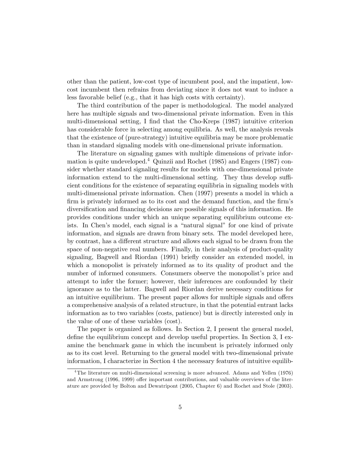other than the patient, low-cost type of incumbent pool, and the impatient, lowcost incumbent then refrains from deviating since it does not want to induce a less favorable belief (e.g., that it has high costs with certainty).

The third contribution of the paper is methodological. The model analyzed here has multiple signals and two-dimensional private information. Even in this multi-dimensional setting, I find that the Cho-Kreps (1987) intuitive criterion has considerable force in selecting among equilibria. As well, the analysis reveals that the existence of (pure-strategy) intuitive equilibria may be more problematic than in standard signaling models with one-dimensional private information.

The literature on signaling games with multiple dimensions of private information is quite undeveloped.<sup>4</sup> Quinzii and Rochet (1985) and Engers (1987) consider whether standard signaling results for models with one-dimensional private information extend to the multi-dimensional setting. They thus develop sufficient conditions for the existence of separating equilibria in signaling models with multi-dimensional private information. Chen (1997) presents a model in which a firm is privately informed as to its cost and the demand function, and the firm's diversification and financing decisions are possible signals of this information. He provides conditions under which an unique separating equilibrium outcome exists. In Chen's model, each signal is a "natural signal" for one kind of private information, and signals are drawn from binary sets. The model developed here, by contrast, has a different structure and allows each signal to be drawn from the space of non-negative real numbers. Finally, in their analysis of product-quality signaling, Bagwell and Riordan (1991) briefly consider an extended model, in which a monopolist is privately informed as to its quality of product and the number of informed consumers. Consumers observe the monopolist's price and attempt to infer the former; however, their inferences are confounded by their ignorance as to the latter. Bagwell and Riordan derive necessary conditions for an intuitive equilibrium. The present paper allows for multiple signals and offers a comprehensive analysis of a related structure, in that the potential entrant lacks information as to two variables (costs, patience) but is directly interested only in the value of one of these variables (cost).

The paper is organized as follows. In Section 2, I present the general model, define the equilibrium concept and develop useful properties. In Section 3, I examine the benchmark game in which the incumbent is privately informed only as to its cost level. Returning to the general model with two-dimensional private information, I characterize in Section 4 the necessary features of intuitive equilib-

<sup>&</sup>lt;sup>4</sup>The literature on multi-dimensional screening is more advanced. Adams and Yellen (1976) and Armstrong (1996, 1999) offer important contributions, and valuable overviews of the literature are provided by Bolton and Dewatripont (2005, Chapter 6) and Rochet and Stole (2003).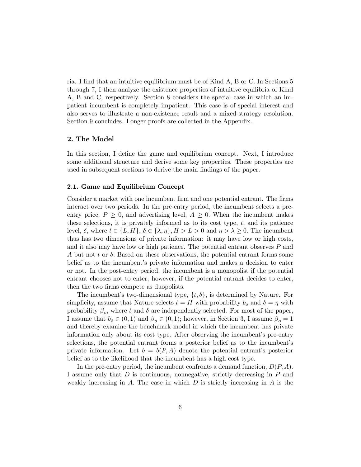ria. I find that an intuitive equilibrium must be of Kind A, B or C. In Sections 5 through 7, I then analyze the existence properties of intuitive equilibria of Kind A, B and C, respectively. Section 8 considers the special case in which an impatient incumbent is completely impatient. This case is of special interest and also serves to illustrate a non-existence result and a mixed-strategy resolution. Section 9 concludes. Longer proofs are collected in the Appendix.

#### 2. The Model

In this section, I define the game and equilibrium concept. Next, I introduce some additional structure and derive some key properties. These properties are used in subsequent sections to derive the main findings of the paper.

#### 2.1. Game and Equilibrium Concept

Consider a market with one incumbent firm and one potential entrant. The firms interact over two periods. In the pre-entry period, the incumbent selects a preentry price,  $P \geq 0$ , and advertising level,  $A \geq 0$ . When the incumbent makes these selections, it is privately informed as to its cost type,  $t$ , and its patience level,  $\delta$ , where  $t \in \{L, H\}$ ,  $\delta \in \{\lambda, \eta\}$ ,  $H > L > 0$  and  $\eta > \lambda \geq 0$ . The incumbent thus has two dimensions of private information: it may have low or high costs, and it also may have low or high patience. The potential entrant observes P and A but not t or  $\delta$ . Based on these observations, the potential entrant forms some belief as to the incumbent's private information and makes a decision to enter or not. In the post-entry period, the incumbent is a monopolist if the potential entrant chooses not to enter; however, if the potential entrant decides to enter, then the two firms compete as duopolists.

The incumbent's two-dimensional type,  $\{t, \delta\}$ , is determined by Nature. For simplicity, assume that Nature selects  $t = H$  with probability  $b<sub>o</sub>$  and  $\delta = \eta$  with probability  $\beta_o$ , where t and  $\delta$  are independently selected. For most of the paper, I assume that  $b_o \in (0,1)$  and  $\beta_o \in (0,1)$ ; however, in Section 3, I assume  $\beta_o = 1$ and thereby examine the benchmark model in which the incumbent has private information only about its cost type. After observing the incumbent's pre-entry selections, the potential entrant forms a posterior belief as to the incumbent's private information. Let  $b = b(P, A)$  denote the potential entrant's posterior belief as to the likelihood that the incumbent has a high cost type.

In the pre-entry period, the incumbent confronts a demand function,  $D(P, A)$ . I assume only that D is continuous, nonnegative, strictly decreasing in P and weakly increasing in A. The case in which  $D$  is strictly increasing in  $A$  is the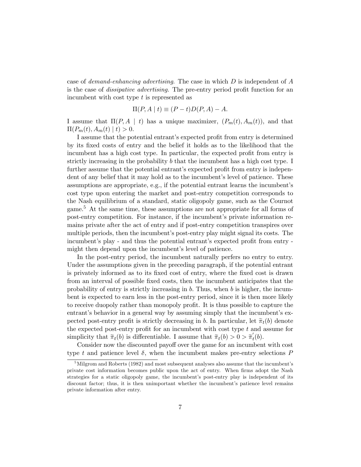case of demand-enhancing advertising. The case in which  $D$  is independent of  $A$ is the case of dissipative advertising. The pre-entry period profit function for an incumbent with cost type t is represented as

$$
\Pi(P, A \mid t) \equiv (P - t)D(P, A) - A.
$$

I assume that  $\Pi(P, A \mid t)$  has a unique maximizer,  $(P_m(t), A_m(t))$ , and that  $\Pi(P_m(t), A_m(t) | t) > 0.$ 

I assume that the potential entrant's expected profit from entry is determined by its fixed costs of entry and the belief it holds as to the likelihood that the incumbent has a high cost type. In particular, the expected profit from entry is strictly increasing in the probability  $b$  that the incumbent has a high cost type. I further assume that the potential entrant's expected profit from entry is independent of any belief that it may hold as to the incumbent's level of patience. These assumptions are appropriate, e.g., if the potential entrant learns the incumbent's cost type upon entering the market and post-entry competition corresponds to the Nash equilibrium of a standard, static oligopoly game, such as the Cournot game.<sup>5</sup> At the same time, these assumptions are not appropriate for all forms of post-entry competition. For instance, if the incumbent's private information remains private after the act of entry and if post-entry competition transpires over multiple periods, then the incumbent's post-entry play might signal its costs. The incumbent's play - and thus the potential entrant's expected profit from entry might then depend upon the incumbent's level of patience.

In the post-entry period, the incumbent naturally perfers no entry to entry. Under the assumptions given in the preceding paragraph, if the potential entrant is privately informed as to its fixed cost of entry, where the fixed cost is drawn from an interval of possible fixed costs, then the incumbent anticipates that the probability of entry is strictly increasing in  $b$ . Thus, when  $b$  is higher, the incumbent is expected to earn less in the post-entry period, since it is then more likely to receive duopoly rather than monopoly profit. It is thus possible to capture the entrant's behavior in a general way by assuming simply that the incumbent's expected post-entry profit is strictly decreasing in b. In particular, let  $\tilde{\pi}_t(b)$  denote the expected post-entry profit for an incumbent with cost type  $t$  and assume for simplicity that  $\tilde{\pi}_t(b)$  is differentiable. I assume that  $\tilde{\pi}_t(b) > 0 > \tilde{\pi}'_t(b)$ .

Consider now the discounted payoff over the game for an incumbent with cost type t and patience level  $\delta$ , when the incumbent makes pre-entry selections P

 $5$ Milgrom and Roberts (1982) and most subsequent analyses also assume that the incumbent's private cost information becomes public upon the act of entry. When firms adopt the Nash strategies for a static oligopoly game, the incumbent's post-entry play is independent of its discount factor; thus, it is then unimportant whether the incumbent's patience level remains private information after entry.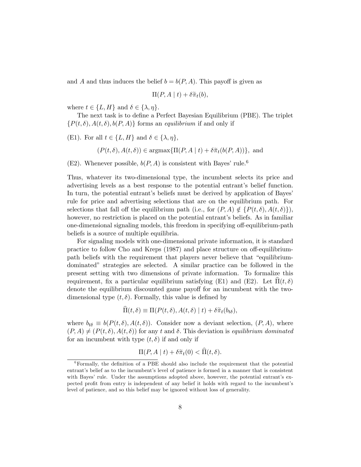and A and thus induces the belief  $b = b(P, A)$ . This payoff is given as

$$
\Pi(P, A \mid t) + \delta \widetilde{\pi}_t(b),
$$

where  $t \in \{L, H\}$  and  $\delta \in \{\lambda, \eta\}.$ 

The next task is to define a Perfect Bayesian Equilibrium (PBE). The triplet  $\{P(t,\delta), A(t,\delta), b(P,A)\}\$ forms an equilibrium if and only if

(E1). For all  $t \in \{L, H\}$  and  $\delta \in \{\lambda, \eta\},\$ 

$$
(P(t, \delta), A(t, \delta)) \in \operatorname{argmax} \{ \Pi(P, A \mid t) + \delta \tilde{\pi}_t (b(P, A)) \},
$$
 and

 $(E2)$ . Whenever possible,  $b(P, A)$  is consistent with Bayes' rule.<sup>6</sup>

Thus, whatever its two-dimensional type, the incumbent selects its price and advertising levels as a best response to the potential entrant's belief function. In turn, the potential entrant's beliefs must be derived by application of Bayes' rule for price and advertising selections that are on the equilibrium path. For selections that fall off the equilibrium path (i.e., for  $(P, A) \notin \{P(t, \delta), A(t, \delta)\}\,$ ), however, no restriction is placed on the potential entrant's beliefs. As in familiar one-dimensional signaling models, this freedom in specifying off-equilibrium-path beliefs is a source of multiple equilibria.

For signaling models with one-dimensional private information, it is standard practice to follow Cho and Kreps (1987) and place structure on off-equilibriumpath beliefs with the requirement that players never believe that "equilibriumdominated" strategies are selected. A similar practice can be followed in the present setting with two dimensions of private information. To formalize this requirement, fix a particular equilibrium satisfying (E1) and (E2). Let  $\Pi(t, \delta)$ denote the equilibrium discounted game payoff for an incumbent with the twodimensional type  $(t, \delta)$ . Formally, this value is defined by

$$
\Pi(t,\delta) \equiv \Pi(P(t,\delta), A(t,\delta) \mid t) + \delta \tilde{\pi}_t(b_{t\delta}),
$$

where  $b_{t\delta} \equiv b(P(t,\delta), A(t,\delta))$ . Consider now a deviant selection,  $(P, A)$ , where  $(P, A) \neq (P(t, \delta), A(t, \delta))$  for any t and  $\delta$ . This deviation is equilibrium dominated for an incumbent with type  $(t, \delta)$  if and only if

$$
\Pi(P, A \mid t) + \delta \tilde{\pi}_t(0) < \Pi(t, \delta).
$$

 $6$ Formally, the definition of a PBE should also include the requirement that the potential entrant's belief as to the incumbent's level of patience is formed in a manner that is consistent with Bayes' rule. Under the assumptions adopted above, however, the potential entrant's expected profit from entry is independent of any belief it holds with regard to the incumbent's level of patience, and so this belief may be ignored without loss of generality.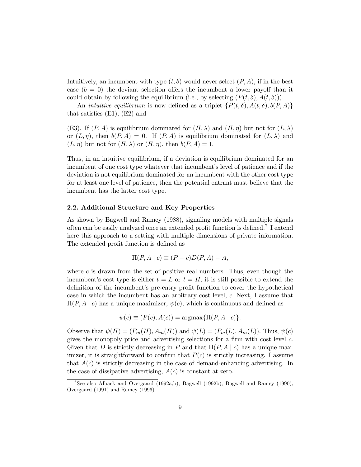Intuitively, an incumbent with type  $(t, \delta)$  would never select  $(P, A)$ , if in the best case  $(b = 0)$  the deviant selection offers the incumbent a lower payoff than it could obtain by following the equilibrium (i.e., by selecting  $(P(t, \delta), A(t, \delta)))$ .

An *intuitive equilibrium* is now defined as a triplet  $\{P(t, \delta), A(t, \delta), b(P, A)\}\$ that satisfies (E1), (E2) and

(E3). If  $(P, A)$  is equilibrium dominated for  $(H, \lambda)$  and  $(H, \eta)$  but not for  $(L, \lambda)$ or  $(L, \eta)$ , then  $b(P, A)=0$ . If  $(P, A)$  is equilibrium dominated for  $(L, \lambda)$  and  $(L, \eta)$  but not for  $(H, \lambda)$  or  $(H, \eta)$ , then  $b(P, A)=1$ .

Thus, in an intuitive equilibrium, if a deviation is equilibrium dominated for an incumbent of one cost type whatever that incumbent's level of patience and if the deviation is not equilibrium dominated for an incumbent with the other cost type for at least one level of patience, then the potential entrant must believe that the incumbent has the latter cost type.

#### 2.2. Additional Structure and Key Properties

As shown by Bagwell and Ramey (1988), signaling models with multiple signals often can be easily analyzed once an extended profit function is defined.<sup>7</sup> I extend here this approach to a setting with multiple dimensions of private information. The extended profit function is defined as

$$
\Pi(P, A \mid c) \equiv (P - c)D(P, A) - A,
$$

where  $c$  is drawn from the set of positive real numbers. Thus, even though the incumbent's cost type is either  $t = L$  or  $t = H$ , it is still possible to extend the definition of the incumbent's pre-entry profit function to cover the hypothetical case in which the incumbent has an arbitrary cost level, c. Next, I assume that  $\Pi(P, A \mid c)$  has a unique maximizer,  $\psi(c)$ , which is continuous and defined as

$$
\psi(c) \equiv (P(c), A(c)) = \operatorname{argmax} {\Pi(P, A \mid c)}.
$$

Observe that  $\psi(H)=(P_m(H), A_m(H))$  and  $\psi(L)=(P_m(L), A_m(L))$ . Thus,  $\psi(c)$ gives the monopoly price and advertising selections for a firm with cost level  $c$ . Given that D is strictly decreasing in P and that  $\Pi(P, A \mid c)$  has a unique maximizer, it is straightforward to confirm that  $P(c)$  is strictly increasing. I assume that  $A(c)$  is strictly decreasing in the case of demand-enhancing advertising. In the case of dissipative advertising,  $A(c)$  is constant at zero.

<sup>&</sup>lt;sup>7</sup>See also Albaek and Overgaard (1992a,b), Bagwell (1992b), Bagwell and Ramey (1990), Overgaard (1991) and Ramey (1996).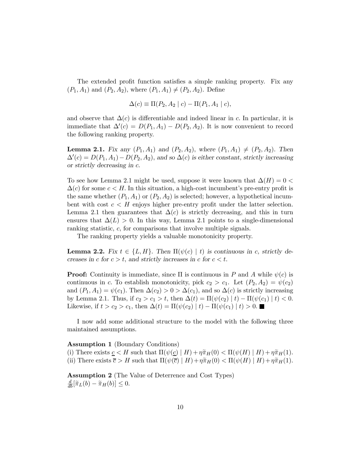The extended profit function satisfies a simple ranking property. Fix any  $(P_1, A_1)$  and  $(P_2, A_2)$ , where  $(P_1, A_1) \neq (P_2, A_2)$ . Define

$$
\Delta(c) \equiv \Pi(P_2, A_2 \mid c) - \Pi(P_1, A_1 \mid c),
$$

and observe that  $\Delta(c)$  is differentiable and indeed linear in c. In particular, it is immediate that  $\Delta'(c) = D(P_1, A_1) - D(P_2, A_2)$ . It is now convenient to record the following ranking property.

**Lemma 2.1.** Fix any  $(P_1, A_1)$  and  $(P_2, A_2)$ , where  $(P_1, A_1) \neq (P_2, A_2)$ . Then  $\Delta'(c) = D(P_1, A_1) - D(P_2, A_2)$ , and so  $\Delta(c)$  is either constant, strictly increasing or strictly decreasing in c.

To see how Lemma 2.1 might be used, suppose it were known that  $\Delta(H)=0$  $\Delta(c)$  for some  $c < H$ . In this situation, a high-cost incumbent's pre-entry profit is the same whether  $(P_1, A_1)$  or  $(P_2, A_2)$  is selected; however, a hypothetical incumbent with cost  $c < H$  enjoys higher pre-entry profit under the latter selection. Lemma 2.1 then guarantees that  $\Delta(c)$  is strictly decreasing, and this in turn ensures that  $\Delta(L) > 0$ . In this way, Lemma 2.1 points to a single-dimensional ranking statistic, c, for comparisons that involve multiple signals.

The ranking property yields a valuable monotonicity property.

**Lemma 2.2.** Fix  $t \in \{L, H\}$ . Then  $\Pi(\psi(c) | t)$  is continuous in c, strictly decreases in c for  $c > t$ , and strictly increases in c for  $c < t$ .

**Proof:** Continuity is immediate, since  $\Pi$  is continuous in P and A while  $\psi(c)$  is continuous in c. To establish monotonicity, pick  $c_2 > c_1$ . Let  $(P_2, A_2) = \psi(c_2)$ and  $(P_1, A_1) = \psi(c_1)$ . Then  $\Delta(c_2) > 0 > \Delta(c_1)$ , and so  $\Delta(c)$  is strictly increasing by Lemma 2.1. Thus, if  $c_2 > c_1 > t$ , then  $\Delta(t) = \Pi(\psi(c_2) | t) - \Pi(\psi(c_1) | t) < 0$ . Likewise, if  $t>c_2 > c_1$ , then  $\Delta(t) = \Pi(\psi(c_2) | t) - \Pi(\psi(c_1) | t) > 0$ . ■

I now add some additional structure to the model with the following three maintained assumptions.

#### Assumption 1 (Boundary Conditions)

(i) There exists  $\underline{c} < H$  such that  $\Pi(\psi(\underline{c}) | H) + \eta \tilde{\pi}_H(0) < \Pi(\psi(H) | H) + \eta \tilde{\pi}_H(1)$ . (ii) There exists  $\overline{c} > H$  such that  $\Pi(\psi(\overline{c}) \mid H) + \eta \tilde{\pi}_H(0) < \Pi(\psi(H) \mid H) + \eta \tilde{\pi}_H(1)$ .

Assumption 2 (The Value of Deterrence and Cost Types)  $\frac{d}{db}[\tilde{\pi}_L(b) - \tilde{\pi}_H(b)] \leq 0.$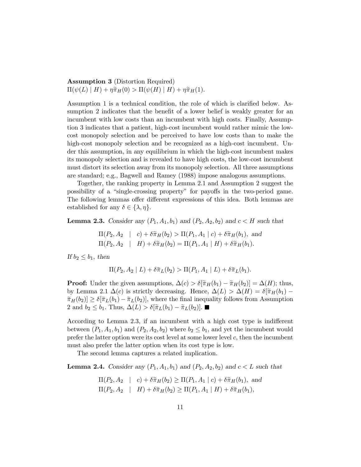Assumption 3 (Distortion Required)  $\Pi(\psi(L) \mid H) + \eta \tilde{\pi}_H(0) > \Pi(\psi(H) \mid H) + \eta \tilde{\pi}_H(1).$ 

Assumption 1 is a technical condition, the role of which is clarified below. Assumption 2 indicates that the benefit of a lower belief is weakly greater for an incumbent with low costs than an incumbent with high costs. Finally, Assumption 3 indicates that a patient, high-cost incumbent would rather mimic the lowcost monopoly selection and be perceived to have low costs than to make the high-cost monopoly selection and be recognized as a high-cost incumbent. Under this assumption, in any equilibrium in which the high-cost incumbent makes its monopoly selection and is revealed to have high costs, the low-cost incumbent must distort its selection away from its monopoly selection. All three assumptions are standard; e.g., Bagwell and Ramey (1988) impose analogous assumptions.

Together, the ranking property in Lemma 2.1 and Assumption 2 suggest the possibility of a "single-crossing property" for payoffs in the two-period game. The following lemmas offer different expressions of this idea. Both lemmas are established for any  $\delta \in \{\lambda, \eta\}.$ 

**Lemma 2.3.** Consider any  $(P_1, A_1, b_1)$  and  $(P_2, A_2, b_2)$  and  $c < H$  such that

$$
\Pi(P_2, A_2 \mid c) + \delta \tilde{\pi}_H(b_2) > \Pi(P_1, A_1 \mid c) + \delta \tilde{\pi}_H(b_1), \text{ and}
$$
  

$$
\Pi(P_2, A_2 \mid H) + \delta \tilde{\pi}_H(b_2) = \Pi(P_1, A_1 \mid H) + \delta \tilde{\pi}_H(b_1).
$$

If  $b_2 \leq b_1$ , then

$$
\Pi(P_2, A_2 \mid L) + \delta \widetilde{\pi}_L(b_2) > \Pi(P_1, A_1 \mid L) + \delta \widetilde{\pi}_L(b_1).
$$

**Proof:** Under the given assumptions,  $\Delta(c) > \delta[\tilde{\pi}_H(b_1) - \tilde{\pi}_H(b_2)] = \Delta(H)$ ; thus, by Lemma 2.1  $\Delta(c)$  is strictly decreasing. Hence,  $\Delta(L) > \Delta(H) = \delta[\tilde{\pi}_H(b_1) \tilde{\pi}_H(b_2) \geq \delta[\tilde{\pi}_L(b_1) - \tilde{\pi}_L(b_2)],$  where the final inequality follows from Assumption 2 and  $b_2 \leq b_1$ . Thus,  $\Delta(L) > \delta[\tilde{\pi}_L(b_1) - \tilde{\pi}_L(b_2)].$ 

According to Lemma 2.3, if an incumbent with a high cost type is indifferent between  $(P_1, A_1, b_1)$  and  $(P_2, A_2, b_2)$  where  $b_2 \leq b_1$ , and yet the incumbent would prefer the latter option were its cost level at some lower level  $c$ , then the incumbent must also prefer the latter option when its cost type is low.

The second lemma captures a related implication.

**Lemma 2.4.** Consider any  $(P_1, A_1, b_1)$  and  $(P_2, A_2, b_2)$  and  $c < L$  such that

$$
\Pi(P_2, A_2 \mid c) + \delta \tilde{\pi}_H(b_2) \ge \Pi(P_1, A_1 \mid c) + \delta \tilde{\pi}_H(b_1), \text{ and}
$$
  

$$
\Pi(P_2, A_2 \mid H) + \delta \tilde{\pi}_H(b_2) \ge \Pi(P_1, A_1 \mid H) + \delta \tilde{\pi}_H(b_1),
$$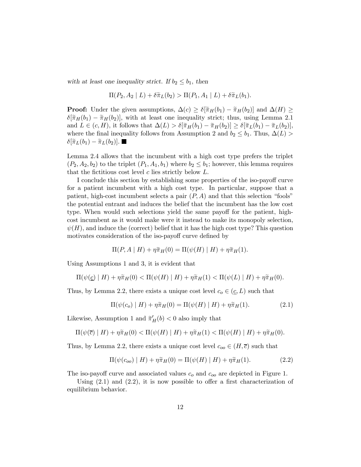with at least one inequality strict. If  $b_2 \leq b_1$ , then

$$
\Pi(P_2, A_2 \mid L) + \delta \widetilde{\pi}_L(b_2) > \Pi(P_1, A_1 \mid L) + \delta \widetilde{\pi}_L(b_1).
$$

**Proof:** Under the given assumptions,  $\Delta(c) \geq \delta[\tilde{\pi}_H(b_1) - \tilde{\pi}_H(b_2)]$  and  $\Delta(H) \geq$  $\delta[\tilde{\pi}_H(b_1) - \tilde{\pi}_H(b_2)]$ , with at least one inequality strict; thus, using Lemma 2.1 and  $L \in (c, H)$ , it follows that  $\Delta(L) > \delta[\tilde{\pi}_H(b_1) - \tilde{\pi}_H(b_2)] \geq \delta[\tilde{\pi}_L(b_1) - \tilde{\pi}_L(b_2)],$ where the final inequality follows from Assumption 2 and  $b_2 \leq b_1$ . Thus,  $\Delta(L)$  $\delta[\widetilde{\pi}_L(b_1) - \widetilde{\pi}_L(b_2)].$ 

Lemma 2.4 allows that the incumbent with a high cost type prefers the triplet  $(P_2, A_2, b_2)$  to the triplet  $(P_1, A_1, b_1)$  where  $b_2 \leq b_1$ ; however, this lemma requires that the fictitious cost level  $c$  lies strictly below  $L$ .

I conclude this section by establishing some properties of the iso-payoff curve for a patient incumbent with a high cost type. In particular, suppose that a patient, high-cost incumbent selects a pair  $(P, A)$  and that this selection "fools" the potential entrant and induces the belief that the incumbent has the low cost type. When would such selections yield the same payoff for the patient, highcost incumbent as it would make were it instead to make its monopoly selection,  $\psi(H)$ , and induce the (correct) belief that it has the high cost type? This question motivates consideration of the iso-payoff curve defined by

$$
\Pi(P, A \mid H) + \eta \widetilde{\pi}_H(0) = \Pi(\psi(H) \mid H) + \eta \widetilde{\pi}_H(1).
$$

Using Assumptions 1 and 3, it is evident that

$$
\Pi(\psi(\underline{c}) \mid H) + \eta \tilde{\pi}_H(0) < \Pi(\psi(H) \mid H) + \eta \tilde{\pi}_H(1) < \Pi(\psi(L) \mid H) + \eta \tilde{\pi}_H(0).
$$

Thus, by Lemma 2.2, there exists a unique cost level  $c_o \in (\underline{c}, L)$  such that

$$
\Pi(\psi(c_o) \mid H) + \eta \tilde{\pi}_H(0) = \Pi(\psi(H) \mid H) + \eta \tilde{\pi}_H(1). \tag{2.1}
$$

Likewise, Assumption 1 and  $\tilde{\pi}'_H(b) < 0$  also imply that

$$
\Pi(\psi(\overline{c}) \mid H) + \eta \widetilde{\pi}_H(0) < \Pi(\psi(H) \mid H) + \eta \widetilde{\pi}_H(1) < \Pi(\psi(H) \mid H) + \eta \widetilde{\pi}_H(0).
$$

Thus, by Lemma 2.2, there exists a unique cost level  $c_{oo} \in (H, \overline{c})$  such that

$$
\Pi(\psi(c_{oo}) \mid H) + \eta \tilde{\pi}_H(0) = \Pi(\psi(H) \mid H) + \eta \tilde{\pi}_H(1). \tag{2.2}
$$

The iso-payoff curve and associated values  $c<sub>o</sub>$  and  $c<sub>oo</sub>$  are depicted in Figure 1.

Using  $(2.1)$  and  $(2.2)$ , it is now possible to offer a first characterization of equilibrium behavior.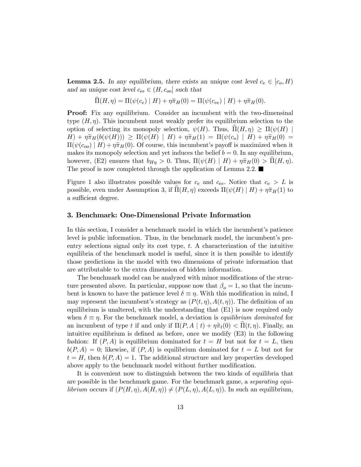**Lemma 2.5.** In any equilibrium, there exists an unique cost level  $c_e \in [c_o, H)$ and an unique cost level  $c_{ee} \in (H, c_{oo}]$  such that

$$
\Pi(H,\eta) = \Pi(\psi(c_e) \mid H) + \eta \widetilde{\pi}_H(0) = \Pi(\psi(c_{ee}) \mid H) + \eta \widetilde{\pi}_H(0).
$$

Proof: Fix any equilibrium. Consider an incumbent with the two-dimensinal type  $(H, \eta)$ . This incumbent must weakly prefer its equilibrium selection to the option of selecting its monopoly selection,  $\psi(H)$ . Thus,  $\Pi(H, \eta) \geq \Pi(\psi(H))$  $H) + \eta \tilde{\pi}_H(b(\psi(H))) \geq \Pi(\psi(H) | H) + \eta \tilde{\pi}_H(1) = \Pi(\psi(c_o) | H) + \eta \tilde{\pi}_H(0) =$  $\Pi(\psi(c_{oo}) \mid H) + \eta \tilde{\pi}_H(0)$ . Of course, this incumbent's payoff is maximized when it makes its monopoly selection and yet induces the belief  $b = 0$ . In any equilibrium, however, (E2) ensures that  $b_{H\eta} > 0$ . Thus,  $\Pi(\psi(H) | H) + \eta \tilde{\pi}_H(0) > \Pi(H, \eta)$ . The proof is now completed through the application of Lemma 2.2.  $\blacksquare$ 

Figure 1 also illustrates possible values for  $c_e$  and  $c_{ee}$ . Notice that  $c_e > L$  is possible, even under Assumption 3, if  $\Pi(H, \eta)$  exceeds  $\Pi(\psi(H) | H) + \eta \tilde{\pi}_H(1)$  to a sufficient degree.

#### 3. Benchmark: One-Dimensional Private Information

In this section, I consider a benchmark model in which the incumbent's patience level is public information. Thus, in the benchmark model, the incumbent's preentry selections signal only its cost type,  $t$ . A characterization of the intuitive equilibria of the benchmark model is useful, since it is then possible to identify those predictions in the model with two dimensions of private information that are attributable to the extra dimension of hidden information.

The benchmark model can be analyzed with minor modifications of the structure presented above. In particular, suppose now that  $\beta_o = 1$ , so that the incumbent is known to have the patience level  $\delta \equiv \eta$ . With this modification in mind, I may represent the incumbent's strategy as  $(P(t, \eta), A(t, \eta))$ . The definition of an equilibrium is unaltered, with the understanding that (E1) is now required only when  $\delta \equiv \eta$ . For the benchmark model, a deviation is *equilibrium dominated* for an incumbent of type t if and only if  $\Pi(P, A | t) + \eta \tilde{\pi}_t(0) < \Pi(t, \eta)$ . Finally, an intuitive equilibrium is defined as before, once we modify (E3) in the following fashion: If  $(P, A)$  is equilibrium dominated for  $t = H$  but not for  $t = L$ , then  $b(P, A) = 0$ ; likewise, if  $(P, A)$  is equilibrium dominated for  $t = L$  but not for  $t = H$ , then  $b(P, A) = 1$ . The additional structure and key properties developed above apply to the benchmark model without further modification.

It is convenient now to distinguish between the two kinds of equilibria that are possible in the benchmark game. For the benchmark game, a separating equi*librium* occurs if  $(P(H, \eta), A(H, \eta)) \neq (P(L, \eta), A(L, \eta))$ . In such an equilibrium,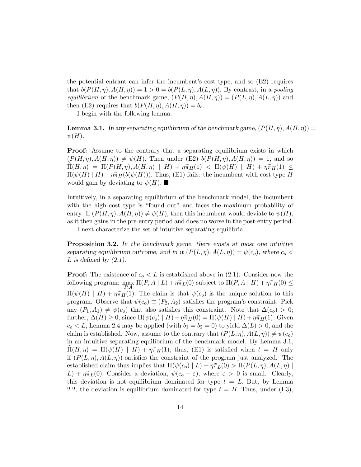the potential entrant can infer the incumbent's cost type, and so (E2) requires that  $b(P(H, \eta), A(H, \eta)) = 1 > 0 = b(P(L, \eta), A(L, \eta))$ . By contrast, in a pooling equilibrium of the benchmark game,  $(P(H, \eta), A(H, \eta)) = (P(L, \eta), A(L, \eta))$  and then (E2) requires that  $b(P(H, \eta), A(H, \eta)) = b_o$ .

I begin with the following lemma.

**Lemma 3.1.** In any separating equilibrium of the benchmark game,  $(P(H, \eta), A(H, \eta)) =$  $\psi(H)$ .

**Proof:** Assume to the contrary that a separating equilibrium exists in which  $(P(H, \eta), A(H, \eta)) \neq \psi(H)$ . Then under (E2)  $b(P(H, \eta), A(H, \eta)) = 1$ , and so  $\Pi(H, \eta) = \Pi(P(H, \eta), A(H, \eta) | H) + \eta \tilde{\pi}_H(1) < \Pi(\psi(H) | H) + \eta \tilde{\pi}_H(1) \leq$  $\Pi(\psi(H) | H) + \eta \tilde{\pi}_H(b(\psi(H)))$ . Thus, (E1) fails: the incumbent with cost type H would gain by deviating to  $\psi(H)$ .

Intuitively, in a separating equilibrium of the benchmark model, the incumbent with the high cost type is "found out" and faces the maximum probability of entry. If  $(P(H, \eta), A(H, \eta)) \neq \psi(H)$ , then this incumbent would deviate to  $\psi(H)$ , as it then gains in the pre-entry period and does no worse in the post-entry period.

I next characterize the set of intuitive separating equilibria.

Proposition 3.2. In the benchmark game, there exists at most one intuitive separating equilibrium outcome, and in it  $(P(L, \eta), A(L, \eta)) = \psi(c_o)$ , where  $c_o$ L is defined by  $(2.1)$ .

**Proof:** The existence of  $c_0 < L$  is established above in (2.1). Consider now the following program:  $\max_{P,A} \Pi(P,A \mid L) + \eta \tilde{\pi}_L(0)$  subject to  $\Pi(P,A \mid H) + \eta \tilde{\pi}_H(0) \le$  $\Pi(\psi(H) | H) + \eta \tilde{\pi}_H(1)$ . The claim is that  $\psi(c_0)$  is the unique solution to this program. Observe that  $\psi(c_0) \equiv (P_2, A_2)$  satisfies the program's constraint. Pick any  $(P_1, A_1) \neq \psi(c_o)$  that also satisfies this constraint. Note that  $\Delta(c_o) > 0$ ; further,  $\Delta(H) \geq 0$ , since  $\Pi(\psi(c_o) | H) + \eta \tilde{\pi}_H(0) = \Pi(\psi(H) | H) + \eta \tilde{\pi}_H(1)$ . Given  $c_0 < L$ , Lemma 2.4 may be applied (with  $b_1 = b_2 = 0$ ) to yield  $\Delta(L) > 0$ , and the claim is established. Now, assume to the contrary that  $(P(L, \eta), A(L, \eta)) \neq \psi(c_o)$ in an intuitive separating equilibrium of the benchmark model. By Lemma 3.1,  $\Pi(H, \eta) = \Pi(\psi(H) | H) + \eta \tilde{\pi}_H(1);$  thus, (E1) is satisfied when  $t = H$  only if  $(P(L, \eta), A(L, \eta))$  satisfies the constraint of the program just analyzed. The established claim thus implies that  $\Pi(\psi(c_o) | L) + \eta \tilde{\pi}_L(0) > \Pi(P(L, \eta), A(L, \eta))$  $L$ ) +  $\eta \tilde{\pi}_L(0)$ . Consider a deviation,  $\psi(c_o - \varepsilon)$ , where  $\varepsilon > 0$  is small. Clearly, this deviation is not equilibrium dominated for type  $t = L$ . But, by Lemma 2.2, the deviation is equilibrium dominated for type  $t = H$ . Thus, under (E3),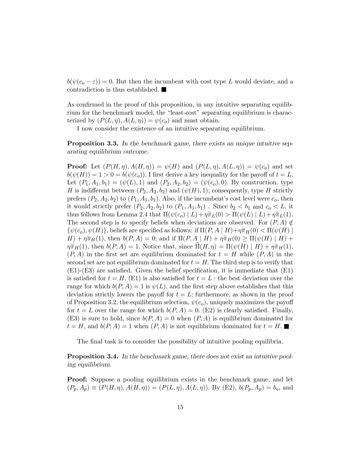$b(\psi(c_{o}-\varepsilon))=0.$  But then the incumbent with cost type L would deviate, and a contradiction is thus established.

As confirmed in the proof of this proposition, in any intuitive separating equilibrium for the benchmark model, the "least-cost" separating equilibrium is characterized by  $(P(L, \eta), A(L, \eta)) = \psi(c_o)$  and must obtain.

I now consider the existence of an intuitive separating equilibrium.

**Proposition 3.3.** In the benchmark game, there exists an unique intuitive separating equilibrium outcome.

**Proof:** Let  $(P(H, \eta), A(H, \eta)) = \psi(H)$  and  $(P(L, \eta), A(L, \eta)) = \psi(c_0)$  and set  $b(\psi(H)) = 1 > 0 = b(\psi(c_o))$ . I first derive a key inequality for the payoff of  $t = L$ . Let  $(P_1, A_1, b_1)=(\psi(L), 1)$  and  $(P_2, A_2, b_2)=(\psi(c_0), 0)$ . By construction, type H is indifferent between  $(P_2, A_2, b_2)$  and  $(\psi(H), 1)$ ; consequently, type H strictly prefers  $(P_2, A_2, b_2)$  to  $(P_1, A_1, b_1)$ . Also, if the incumbent's cost level were  $c_o$ , then it would strictly prefer  $(P_2, A_2, b_2)$  to  $(P_1, A_1, b_1)$ . Since  $b_2 < b_1$  and  $c_0 < L$ , it thus follows from Lemma 2.4 that  $\Pi(\psi(c_o) | L) + \eta \tilde{\pi}_L(0) > \Pi(\psi(L) | L) + \eta \tilde{\pi}_L(1)$ . The second step is to specify beliefs when deviations are observed. For  $(P, A) \notin$  $\{\psi(c_o), \psi(H)\}\$ , beliefs are specified as follows: if  $\Pi(P, A \mid H)+\eta \tilde{\pi}_H(0) < \Pi(\psi(H) \mid$  $H) + \eta \widetilde{\pi}_H(1)$ , then  $b(P, A) = 0$ ; and if  $\Pi(P, A | H) + \eta \widetilde{\pi}_H(0) \geq \Pi(\psi(H) | H) + \eta$  $\eta \tilde{\pi}_H(1)$ , then  $b(P, A) = 1$ . Notice that, since  $\Pi(H, \eta) = \Pi(\psi(H) | H) + \eta \tilde{\pi}_H(1),$  $(P, A)$  in the first set are equilibrium dominated for  $t = H$  while  $(P, A)$  in the second set are not equilibrium dominated for  $t = H$ . The third step is to verify that (E1)-(E3) are satisfied. Given the belief specification, it is immediate that (E1) is satisfied for  $t = H$ . (E1) is also satisfied for  $t = L$ : the best deviation over the range for which  $b(P, A)=1$  is  $\psi(L)$ , and the first step above establishes that this deviation strictly lowers the payoff for  $t = L$ ; furthermore, as shown in the proof of Proposition 3.2, the equilibrium selection,  $\psi(c_o)$ , uniquely maximizes the payoff for  $t = L$  over the range for which  $b(P, A) = 0$ . (E2) is clearly satisfied. Finally, (E3) is sure to hold, since  $b(P, A)=0$  when  $(P, A)$  is equilibrium dominated for  $t = H$ , and  $b(P, A) = 1$  when  $(P, A)$  is not equilibrium dominated for  $t = H$ .

The final task is to consider the possibility of intuitive pooling equilibria.

Proposition 3.4. In the benchmark game, there does not exist an intuitive pooling equilibrium.

**Proof:** Suppose a pooling equilibrium exists in the benchmark game, and let  $(P_p, A_p) \equiv (P(H, \eta), A(H, \eta)) = (P(L, \eta), A(L, \eta))$ . By (E2),  $b(P_p, A_p) = b_o$ , and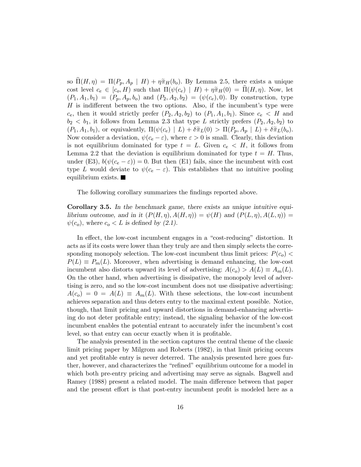so  $\widehat{\Pi}(H, \eta) = \Pi(P_p, A_p \mid H) + \eta \widetilde{\pi}_H(b_o)$ . By Lemma 2.5, there exists a unique cost level  $c_e \in [c_o, H)$  such that  $\Pi(\psi(c_e) \mid H) + \eta \tilde{\pi}_H(0) = \Pi(H, \eta)$ . Now, let  $(P_1, A_1, b_1)=(P_p, A_p, b_o)$  and  $(P_2, A_2, b_2)=(\psi(c_e), 0)$ . By construction, type  $H$  is indifferent between the two options. Also, if the incumbent's type were  $c_e$ , then it would strictly prefer  $(P_2, A_2, b_2)$  to  $(P_1, A_1, b_1)$ . Since  $c_e \lt H$  and  $b_2 < b_1$ , it follows from Lemma 2.3 that type L strictly prefers  $(P_2, A_2, b_2)$  to  $(P_1, A_1, b_1)$ , or equivalently,  $\Pi(\psi(c_e) | L) + \delta \tilde{\pi}_L(0) > \Pi(P_p, A_p | L) + \delta \tilde{\pi}_L(b_o)$ . Now consider a deviation,  $\psi(c_e - \varepsilon)$ , where  $\varepsilon > 0$  is small. Clearly, this deviation is not equilibrium dominated for type  $t = L$ . Given  $c_e < H$ , it follows from Lemma 2.2 that the deviation is equilibrium dominated for type  $t = H$ . Thus, under (E3),  $b(\psi(c_e - \varepsilon)) = 0$ . But then (E1) fails, since the incumbent with cost type L would deviate to  $\psi(c_e - \varepsilon)$ . This establishes that no intuitive pooling equilibrium exists.  $\blacksquare$ 

The following corollary summarizes the findings reported above.

Corollary 3.5. In the benchmark game, there exists an unique intuitive equilibrium outcome, and in it  $(P(H, \eta), A(H, \eta)) = \psi(H)$  and  $(P(L, \eta), A(L, \eta)) =$  $\psi(c_o)$ , where  $c_o < L$  is defined by (2.1).

In effect, the low-cost incumbent engages in a "cost-reducing" distortion. It acts as if its costs were lower than they truly are and then simply selects the corresponding monopoly selection. The low-cost incumbent thus limit prices:  $P(c<sub>o</sub>)$  <  $P(L) \equiv P_m(L)$ . Moreover, when advertising is demand enhancing, the low-cost incumbent also distorts upward its level of advertising:  $A(c_0) > A(L) \equiv A_m(L)$ . On the other hand, when advertising is dissipative, the monopoly level of advertising is zero, and so the low-cost incumbent does not use dissipative advertising:  $A(c_0)=0=A(L) \equiv A_m(L)$ . With these selections, the low-cost incumbent achieves separation and thus deters entry to the maximal extent possible. Notice, though, that limit pricing and upward distortions in demand-enhancing advertising do not deter profitable entry; instead, the signaling behavior of the low-cost incumbent enables the potential entrant to accurately infer the incumbent's cost level, so that entry can occur exactly when it is profitable.

The analysis presented in the section captures the central theme of the classic limit pricing paper by Milgrom and Roberts (1982), in that limit pricing occurs and yet profitable entry is never deterred. The analysis presented here goes further, however, and characterizes the "refined" equilibrium outcome for a model in which both pre-entry pricing and advertising may serve as signals. Bagwell and Ramey (1988) present a related model. The main difference between that paper and the present effort is that post-entry incumbent profit is modeled here as a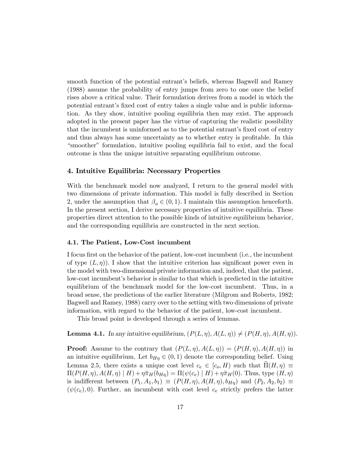smooth function of the potential entrant's beliefs, whereas Bagwell and Ramey (1988) assume the probability of entry jumps from zero to one once the belief rises above a critical value. Their formulation derives from a model in which the potential entrant's fixed cost of entry takes a single value and is public information. As they show, intuitive pooling equilibria then may exist. The approach adopted in the present paper has the virtue of capturing the realistic possibility that the incumbent is uninformed as to the potential entrant's fixed cost of entry and thus always has some uncertainty as to whether entry is profitable. In this "smoother" formulation, intuitive pooling equilibria fail to exist, and the focal outcome is thus the unique intuitive separating equilibrium outcome.

#### 4. Intuitive Equilibria: Necessary Properties

With the benchmark model now analyzed, I return to the general model with two dimensions of private information. This model is fully described in Section 2, under the assumption that  $\beta_o \in (0, 1)$ . I maintain this assumption henceforth. In the present section, I derive necessary properties of intuitive equilibria. These properties direct attention to the possible kinds of intuitive equilibrium behavior, and the corresponding equilibria are constructed in the next section.

#### 4.1. The Patient, Low-Cost incumbent

I focus first on the behavior of the patient, low-cost incumbent (i.e., the incumbent of type  $(L, \eta)$ ). I show that the intuitive criterion has significant power even in the model with two-dimensional private information and, indeed, that the patient, low-cost incumbent's behavior is similar to that which is predicted in the intuitive equilibrium of the benchmark model for the low-cost incumbent. Thus, in a broad sense, the predictions of the earlier literature (Milgrom and Roberts, 1982; Bagwell and Ramey, 1988) carry over to the setting with two dimensions of private information, with regard to the behavior of the patient, low-cost incumbent.

This broad point is developed through a series of lemmas.

#### **Lemma 4.1.** In any intuitive equilibrium,  $(P(L, \eta), A(L, \eta)) \neq (P(H, \eta), A(H, \eta)).$

**Proof:** Assume to the contrary that  $(P(L, \eta), A(L, \eta)) = (P(H, \eta), A(H, \eta))$  in an intuitive equilibrium. Let  $b_{H\eta} \in (0,1)$  denote the corresponding belief. Using Lemma 2.5, there exists a unique cost level  $c_e \in [c_o, H)$  such that  $\Pi(H, \eta) \equiv$  $\Pi(P(H,\eta), A(H,\eta) | H) + \eta \tilde{\pi}_H(b_{H\eta}) = \Pi(\psi(c_e) | H) + \eta \tilde{\pi}_H(0)$ . Thus, type  $(H,\eta)$ is indifferent between  $(P_1, A_1, b_1) \equiv (P(H, \eta), A(H, \eta), b_{H\eta})$  and  $(P_2, A_2, b_2) \equiv$  $(\psi(c_e), 0)$ . Further, an incumbent with cost level  $c_e$  strictly prefers the latter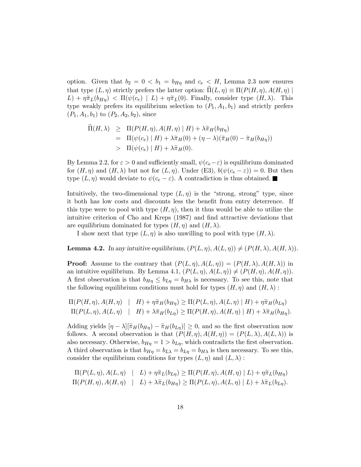option. Given that  $b_2 = 0 \lt b_1 = b_{H\eta}$  and  $c_e \lt H$ , Lemma 2.3 now ensures that type  $(L, \eta)$  strictly prefers the latter option:  $\Pi(L, \eta) \equiv \Pi(P(H, \eta), A(H, \eta))$  $L$ ) +  $\eta \tilde{\pi}_L(b_{H\eta})$  <  $\Pi(\psi(c_e) | L) + \eta \tilde{\pi}_L(0)$ . Finally, consider type  $(H, \lambda)$ . This type weakly prefers its equilibrium selection to  $(P_1, A_1, b_1)$  and strictly prefers  $(P_1, A_1, b_1)$  to  $(P_2, A_2, b_2)$ , since

$$
\Pi(H,\lambda) \geq \Pi(P(H,\eta), A(H,\eta) | H) + \lambda \tilde{\pi}_H(b_{H\eta})
$$
\n
$$
= \Pi(\psi(c_e) | H) + \lambda \tilde{\pi}_H(0) + (\eta - \lambda)(\tilde{\pi}_H(0) - \tilde{\pi}_H(b_{H\eta}))
$$
\n
$$
> \Pi(\psi(c_e) | H) + \lambda \tilde{\pi}_H(0).
$$

By Lemma 2.2, for  $\varepsilon > 0$  and sufficiently small,  $\psi(c_e - \varepsilon)$  is equilibrium dominated for  $(H, \eta)$  and  $(H, \lambda)$  but not for  $(L, \eta)$ . Under (E3),  $b(\psi(c_e - \varepsilon)) = 0$ . But then type  $(L, \eta)$  would deviate to  $\psi(c_e - \varepsilon)$ . A contradiction is thus obtained.

Intuitively, the two-dimensional type  $(L, \eta)$  is the "strong, strong" type, since it both has low costs and discounts less the benefit from entry deterrence. If this type were to pool with type  $(H, \eta)$ , then it thus would be able to utilize the intuitive criterion of Cho and Kreps (1987) and find attractive deviations that are equilibrium dominated for types  $(H, \eta)$  and  $(H, \lambda)$ .

I show next that type  $(L, \eta)$  is also unwilling to pool with type  $(H, \lambda)$ .

**Lemma 4.2.** In any intuitive equilibrium,  $(P(L, \eta), A(L, \eta)) \neq (P(H, \lambda), A(H, \lambda)).$ 

**Proof:** Assume to the contrary that  $(P(L, \eta), A(L, \eta)) = (P(H, \lambda), A(H, \lambda))$  in an intuitive equilibrium. By Lemma 4.1,  $(P(L, \eta), A(L, \eta)) \neq (P(H, \eta), A(H, \eta)).$ A first observation is that  $b_{H\eta} \leq b_{L\eta} = b_{H\lambda}$  is necessary. To see this, note that the following equilibrium conditions must hold for types  $(H, \eta)$  and  $(H, \lambda)$ :

$$
\Pi(P(H,\eta),A(H,\eta) \mid H) + \eta \tilde{\pi}_H(b_{H\eta}) \geq \Pi(P(L,\eta),A(L,\eta) \mid H) + \eta \tilde{\pi}_H(b_{L\eta})
$$
  

$$
\Pi(P(L,\eta),A(L,\eta) \mid H) + \lambda \tilde{\pi}_H(b_{L\eta}) \geq \Pi(P(H,\eta),A(H,\eta) \mid H) + \lambda \tilde{\pi}_H(b_{H\eta}).
$$

Adding yields  $[\eta - \lambda][\tilde{\pi}_H(b_{H\eta}) - \tilde{\pi}_H(b_{L\eta})] \geq 0$ , and so the first observation now follows. A second observation is that  $(P(H, \eta), A(H, \eta)) = (P(L, \lambda), A(L, \lambda))$  is also necessary. Otherwise,  $b_{H\eta} = 1 > b_{L\eta}$ , which contradicts the first observation. A third observation is that  $b_{H\eta} = b_{L\lambda} = b_{L\eta} = b_{H\lambda}$  is then necessary. To see this, consider the equilibrium conditions for types  $(L, \eta)$  and  $(L, \lambda)$ :

$$
\Pi(P(L,\eta),A(L,\eta) \mid L) + \eta \tilde{\pi}_L(b_{L\eta}) \geq \Pi(P(H,\eta),A(H,\eta) \mid L) + \eta \tilde{\pi}_L(b_{H\eta})
$$
  

$$
\Pi(P(H,\eta),A(H,\eta) \mid L) + \lambda \tilde{\pi}_L(b_{H\eta}) \geq \Pi(P(L,\eta),A(L,\eta) \mid L) + \lambda \tilde{\pi}_L(b_{L\eta}).
$$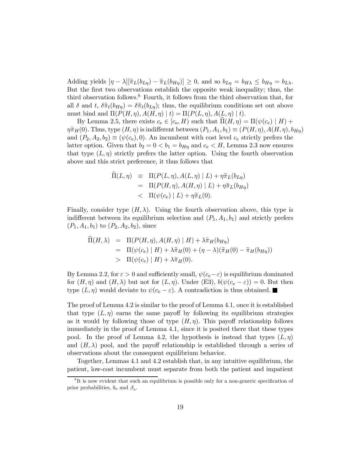Adding yields  $[\eta - \lambda][\tilde{\pi}_L(b_{L\eta}) - \tilde{\pi}_L(b_{H\eta})] \ge 0$ , and so  $b_{L\eta} = b_{H\lambda} \le b_{H\eta} = b_{L\lambda}$ . But the first two observations establish the opposite weak inequality; thus, the third observation follows.8 Fourth, it follows from the third observation that, for all  $\delta$  and t,  $\delta \tilde{\pi}_t(b_{H\eta}) = \delta \tilde{\pi}_t(b_{L\eta})$ ; thus, the equilibrium conditions set out above must bind and  $\Pi(P(H, \eta), A(H, \eta) | t) = \Pi(P(L, \eta), A(L, \eta) | t).$ 

By Lemma 2.5, there exists  $c_e \in [c_o, H)$  such that  $\hat{\Pi}(H, \eta) = \Pi(\psi(c_e) | H) +$  $\eta \tilde{\pi}_H(0)$ . Thus, type  $(H, \eta)$  is indifferent between  $(P_1, A_1, b_1) \equiv (P(H, \eta), A(H, \eta), b_{H\eta})$ and  $(P_2, A_2, b_2) \equiv (\psi(c_e), 0)$ . An incumbent with cost level  $c_e$  strictly prefers the latter option. Given that  $b_2 = 0 < b_1 = b_{H\eta}$  and  $c_e < H$ , Lemma 2.3 now ensures that type  $(L, \eta)$  strictly prefers the latter option. Using the fourth observation above and this strict preference, it thus follows that

$$
\Pi(L,\eta) \equiv \Pi(P(L,\eta), A(L,\eta) | L) + \eta \tilde{\pi}_L(b_{L\eta})
$$
\n
$$
= \Pi(P(H,\eta), A(H,\eta) | L) + \eta \tilde{\pi}_L(b_{H\eta})
$$
\n
$$
< \Pi(\psi(c_e) | L) + \eta \tilde{\pi}_L(0).
$$

Finally, consider type  $(H, \lambda)$ . Using the fourth observation above, this type is indifferent between its equilibrium selection and  $(P_1, A_1, b_1)$  and strictly prefers  $(P_1, A_1, b_1)$  to  $(P_2, A_2, b_2)$ , since

$$
\Pi(H,\lambda) = \Pi(P(H,\eta), A(H,\eta) | H) + \lambda \tilde{\pi}_H(b_{H\eta})
$$
  
= 
$$
\Pi(\psi(c_e) | H) + \lambda \tilde{\pi}_H(0) + (\eta - \lambda)(\tilde{\pi}_H(0) - \tilde{\pi}_H(b_{H\eta}))
$$
  
> 
$$
\Pi(\psi(c_e) | H) + \lambda \tilde{\pi}_H(0).
$$

By Lemma 2.2, for  $\varepsilon > 0$  and sufficiently small,  $\psi(c_e - \varepsilon)$  is equilibrium dominated for  $(H, \eta)$  and  $(H, \lambda)$  but not for  $(L, \eta)$ . Under (E3),  $b(\psi(c_e - \varepsilon)) = 0$ . But then type  $(L, \eta)$  would deviate to  $\psi(c_e - \varepsilon)$ . A contradiction is thus obtained.

The proof of Lemma 4.2 is similar to the proof of Lemma 4.1, once it is established that type  $(L, \eta)$  earns the same payoff by following its equilibrium strategies as it would by following those of type  $(H, \eta)$ . This payoff relationship follows immediately in the proof of Lemma 4.1, since it is posited there that these types pool. In the proof of Lemma 4.2, the hypothesis is instead that types  $(L, \eta)$ and  $(H, \lambda)$  pool, and the payoff relationship is established through a series of observations about the consequent equilibrium behavior.

Together, Lemmas 4.1 and 4.2 establish that, in any intuitive equilibrium, the patient, low-cost incumbent must separate from both the patient and impatient

<sup>&</sup>lt;sup>8</sup>It is now evident that such an equilibrium is possible only for a non-generic specification of prior probabilities,  $b<sub>o</sub>$  and  $\beta<sub>o</sub>$ .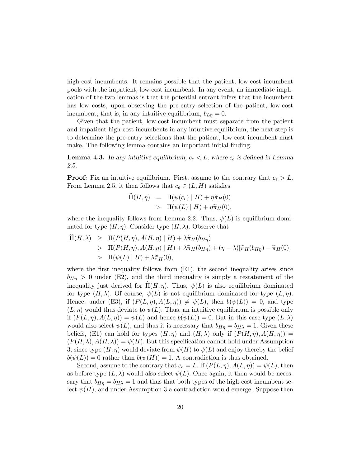high-cost incumbents. It remains possible that the patient, low-cost incumbent pools with the impatient, low-cost incumbent. In any event, an immediate implication of the two lemmas is that the potential entrant infers that the incumbent has low costs, upon observing the pre-entry selection of the patient, low-cost incumbent; that is, in any intuitive equilibrium,  $b_{L\eta} = 0$ .

Given that the patient, low-cost incumbent must separate from the patient and impatient high-cost incumbents in any intuitive equilibrium, the next step is to determine the pre-entry selections that the patient, low-cost incumbent must make. The following lemma contains an important initial finding.

**Lemma 4.3.** In any intuitive equilibrium,  $c_e < L$ , where  $c_e$  is defined in Lemma 2.5.

**Proof:** Fix an intuitive equilibrium. First, assume to the contrary that  $c_e > L$ . From Lemma 2.5, it then follows that  $c_e \in (L, H)$  satisfies

$$
\begin{array}{rcl} \widehat{\Pi}(H,\eta) & = & \Pi(\psi(c_e) \mid H) + \eta \widetilde{\pi}_H(0) \\ & > & \Pi(\psi(L) \mid H) + \eta \widetilde{\pi}_H(0), \end{array}
$$

where the inequality follows from Lemma 2.2. Thus,  $\psi(L)$  is equilibrium dominated for type  $(H, \eta)$ . Consider type  $(H, \lambda)$ . Observe that

$$
\Pi(H,\lambda) \geq \Pi(P(H,\eta), A(H,\eta) | H) + \lambda \tilde{\pi}_H(b_{H\eta})
$$
  
> 
$$
\Pi(P(H,\eta), A(H,\eta) | H) + \lambda \tilde{\pi}_H(b_{H\eta}) + (\eta - \lambda)[\tilde{\pi}_H(b_{H\eta}) - \tilde{\pi}_H(0)]
$$
  
> 
$$
\Pi(\psi(L) | H) + \lambda \tilde{\pi}_H(0),
$$

where the first inequality follows from (E1), the second inequality arises since  $b_{H\eta} > 0$  under (E2), and the third inequality is simply a restatement of the inequality just derived for  $\Pi(H, \eta)$ . Thus,  $\psi(L)$  is also equilibrium dominated for type  $(H, \lambda)$ . Of course,  $\psi(L)$  is not equilibrium dominated for type  $(L, \eta)$ . Hence, under (E3), if  $(P(L, \eta), A(L, \eta)) \neq \psi(L)$ , then  $b(\psi(L)) = 0$ , and type  $(L, \eta)$  would thus deviate to  $\psi(L)$ . Thus, an intuitive equilibrium is possible only if  $(P(L, \eta), A(L, \eta)) = \psi(L)$  and hence  $b(\psi(L)) = 0$ . But in this case type  $(L, \lambda)$ would also select  $\psi(L)$ , and thus it is necessary that  $b_{Hn} = b_{H\lambda} = 1$ . Given these beliefs, (E1) can hold for types  $(H, \eta)$  and  $(H, \lambda)$  only if  $(P(H, \eta), A(H, \eta)) =$  $(P(H, \lambda), A(H, \lambda)) = \psi(H)$ . But this specification cannot hold under Assumption 3, since type  $(H, \eta)$  would deviate from  $\psi(H)$  to  $\psi(L)$  and enjoy thereby the belief  $b(\psi(L)) = 0$  rather than  $b(\psi(H)) = 1$ . A contradiction is thus obtained.

Second, assume to the contrary that  $c_e = L$ . If  $(P(L, \eta), A(L, \eta)) = \psi(L)$ , then as before type  $(L, \lambda)$  would also select  $\psi(L)$ . Once again, it then would be necessary that  $b_{H\eta} = b_{H\lambda} = 1$  and thus that both types of the high-cost incumbent select  $\psi(H)$ , and under Assumption 3 a contradiction would emerge. Suppose then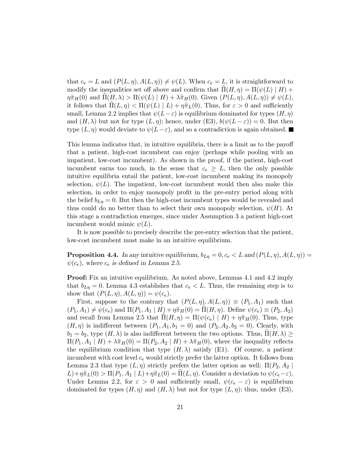that  $c_e = L$  and  $(P(L, \eta), A(L, \eta)) \neq \psi(L)$ . When  $c_e = L$ , it is straightforward to modify the inequalities set off above and confirm that  $\Pi(H, \eta) = \Pi(\psi(L) | H) +$  $\eta \tilde{\pi}_H(0)$  and  $\Pi(H, \lambda) > \Pi(\psi(L) | H) + \lambda \tilde{\pi}_H(0)$ . Given  $(P(L, \eta), A(L, \eta)) \neq \psi(L)$ , it follows that  $\Pi(L, \eta) < \Pi(\psi(L) | L) + \eta \tilde{\pi}_L(0)$ . Thus, for  $\varepsilon > 0$  and sufficiently small, Lemma 2.2 implies that  $\psi(L-\varepsilon)$  is equilibrium dominated for types  $(H, \eta)$ and  $(H, \lambda)$  but not for type  $(L, \eta)$ ; hence, under (E3),  $b(\psi(L - \varepsilon)) = 0$ . But then type  $(L, \eta)$  would deviate to  $\psi(L-\varepsilon)$ , and so a contradiction is again obtained.

This lemma indicates that, in intuitive equilibria, there is a limit as to the payoff that a patient, high-cost incumbent can enjoy (perhaps while pooling with an impatient, low-cost incumbent). As shown in the proof, if the patient, high-cost incumbent earns too much, in the sense that  $c_e \geq L$ , then the only possible intuitive equilibria entail the patient, low-cost incumbent making its monopoly selection,  $\psi(L)$ . The impatient, low-cost incumbent would then also make this selection, in order to enjoy monopoly profit in the pre-entry period along with the belief  $b_{L\eta} = 0$ . But then the high-cost incumbent types would be revealed and thus could do no better than to select their own monopoly selection,  $\psi(H)$ . At this stage a contradiction emerges, since under Assumption 3 a patient high-cost incumbent would mimic  $\psi(L)$ .

It is now possible to precisely describe the pre-entry selection that the patient, low-cost incumbent must make in an intuitive equilibrium.

**Proposition 4.4.** In any intuitive equilibrium,  $b_{L\eta} = 0$ ,  $c_e < L$  and  $(P(L, \eta), A(L, \eta)) =$  $\psi(c_e)$ , where  $c_e$  is defined in Lemma 2.5.

**Proof:** Fix an intuitive equilibrium. As noted above, Lemmas 4.1 and 4.2 imply that  $b_{L\eta} = 0$ . Lemma 4.3 establishes that  $c_e < L$ . Thus, the remaining step is to show that  $(P(L, \eta), A(L, \eta)) = \psi(c_e)$ .

First, suppose to the contrary that  $(P(L, \eta), A(L, \eta)) \equiv (P_1, A_1)$  such that  $(P_1, A_1) \neq \psi(c_e)$  and  $\Pi(P_1, A_1 \mid H) + \eta \tilde{\pi}_H(0) = \Pi(H, \eta)$ . Define  $\psi(c_e) \equiv (P_2, A_2)$ and recall from Lemma 2.5 that  $\Pi(H, \eta) = \Pi(\psi(c_e) | H) + \eta \tilde{\pi}_H(0)$ . Thus, type  $(H, \eta)$  is indifferent between  $(P_1, A_1, b_1 = 0)$  and  $(P_2, A_2, b_2 = 0)$ . Clearly, with  $b_1 = b_2$ , type  $(H, \lambda)$  is also indifferent between the two options. Thus,  $\Pi(H, \lambda) \geq$  $\Pi(P_1, A_1 | H) + \lambda \tilde{\pi}_H(0) = \Pi(P_2, A_2 | H) + \lambda \tilde{\pi}_H(0)$ , where the inequality reflects the equilibrium condition that type  $(H, \lambda)$  satisfy (E1). Of course, a patient incumbent with cost level  $c_e$  would strictly prefer the latter option. It follows from Lemma 2.3 that type  $(L, \eta)$  strictly prefers the latter option as well:  $\Pi(P_2, A_2)$  $L)+\eta\tilde{\pi}_L(0) > \Pi(P_1,A_1 \mid L)+\eta\tilde{\pi}_L(0) = \Pi(L,\eta)$ . Consider a deviation to  $\psi(c_e-\varepsilon)$ . Under Lemma 2.2, for  $\varepsilon > 0$  and sufficiently small,  $\psi(c_e - \varepsilon)$  is equilibrium dominated for types  $(H, \eta)$  and  $(H, \lambda)$  but not for type  $(L, \eta)$ ; thus, under (E3),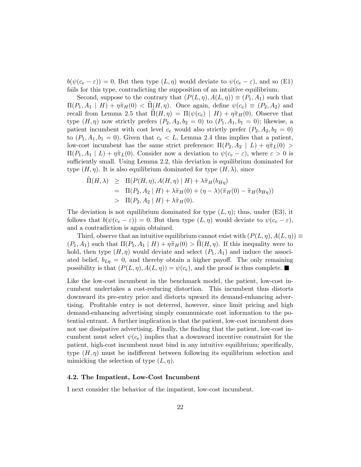$b(\psi(c_e - \varepsilon)) = 0$ . But then type  $(L, \eta)$  would deviate to  $\psi(c_e - \varepsilon)$ , and so (E1) fails for this type, contradicting the supposition of an intuitive equilibrium.

Second, suppose to the contrary that  $(P(L, \eta), A(L, \eta)) \equiv (P_1, A_1)$  such that  $\Pi(P_1, A_1 \mid H) + \eta \tilde{\pi}_H(0) < \Pi(H, \eta)$ . Once again, define  $\psi(c_e) \equiv (P_2, A_2)$  and recall from Lemma 2.5 that  $\Pi(H, \eta) = \Pi(\psi(c_e) | H) + \eta \tilde{\pi}_H(0)$ . Observe that type  $(H, \eta)$  now strictly prefers  $(P_2, A_2, b_2 = 0)$  to  $(P_1, A_1, b_1 = 0)$ ; likewise, a patient incumbent with cost level  $c_e$  would also strictly prefer  $(P_2, A_2, b_2 = 0)$ to  $(P_1, A_1, b_1 = 0)$ . Given that  $c_e < L$ , Lemma 2.4 thus implies that a patient, low-cost incumbent has the same strict preference:  $\Pi(P_2, A_2 | L) + \eta \tilde{\pi}_L(0) >$  $\Pi(P_1, A_1 | L) + \eta \tilde{\pi}_L(0)$ . Consider now a deviation to  $\psi(c_e - \varepsilon)$ , where  $\varepsilon > 0$  is sufficiently small. Using Lemma 2.2, this deviation is equilibrium dominated for type  $(H, \eta)$ . It is also equilibrium dominated for type  $(H, \lambda)$ , since

$$
\begin{aligned} \Pi(H,\lambda) &\geq \Pi(P(H,\eta), A(H,\eta) \mid H) + \lambda \tilde{\pi}_H(b_{H\eta}) \\ &= \Pi(P_2, A_2 \mid H) + \lambda \tilde{\pi}_H(0) + (\eta - \lambda)(\tilde{\pi}_H(0) - \tilde{\pi}_H(b_{H\eta})) \\ &> \Pi(P_2, A_2 \mid H) + \lambda \tilde{\pi}_H(0). \end{aligned}
$$

The deviation is not equilibrium dominated for type  $(L, \eta)$ ; thus, under (E3), it follows that  $b(\psi(c_e - \varepsilon)) = 0$ . But then type  $(L, \eta)$  would deviate to  $\psi(c_e - \varepsilon)$ , and a contradiction is again obtained.

Third, observe that an intuitive equilibrium cannot exist with  $(P(L, \eta), A(L, \eta)) \equiv$  $(P_1, A_1)$  such that  $\Pi(P_1, A_1 | H) + \eta \tilde{\pi}_H(0) > \Pi(H, \eta)$ . If this inequality were to hold, then type  $(H, \eta)$  would deviate and select  $(P_1, A_1)$  and induce the associated belief,  $b_{L\eta} = 0$ , and thereby obtain a higher payoff. The only remaining possibility is that  $(P(L, \eta), A(L, \eta)) = \psi(c_e)$ , and the proof is thus complete.

Like the low-cost incumbent in the benchmark model, the patient, low-cost incumbent undertakes a cost-reducing distortion. This incumbent thus distorts downward its pre-entry price and distorts upward its demand-enhancing advertising. Profitable entry is not deterred, however, since limit pricing and high demand-enhancing advertising simply communicate cost information to the potential entrant. A further implication is that the patient, low-cost incumbent does not use dissipative advertising. Finally, the finding that the patient, low-cost incumbent must select  $\psi(c_e)$  implies that a downward incentive constraint for the patient, high-cost incumbent must bind in any intuitive equilibrium; specifically, type  $(H, \eta)$  must be indifferent between following its equilibrium selection and mimicking the selection of type  $(L, \eta)$ .

#### 4.2. The Impatient, Low-Cost Incumbent

I next consider the behavior of the impatient, low-cost incumbent.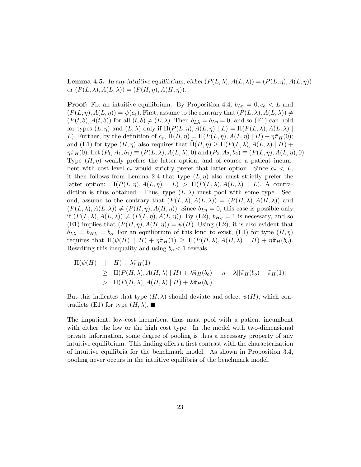**Lemma 4.5.** In any intuitive equilibrium, either  $(P(L, \lambda), A(L, \lambda)) = (P(L, \eta), A(L, \eta))$ or  $(P(L, \lambda), A(L, \lambda)) = (P(H, \eta), A(H, \eta)).$ 

**Proof:** Fix an intuitive equilibrium. By Proposition 4.4,  $b_{Ln} = 0, c_e < L$  and  $(P(L, \eta), A(L, \eta)) = \psi(c_e)$ . First, assume to the contrary that  $(P(L, \lambda), A(L, \lambda)) \neq$  $(P(t, \delta), A(t, \delta))$  for all  $(t, \delta) \neq (L, \lambda)$ . Then  $b_{L\lambda} = b_{L\eta} = 0$ , and so (E1) can hold for types  $(L, \eta)$  and  $(L, \lambda)$  only if  $\Pi(P(L, \eta), A(L, \eta) | L) = \Pi(P(L, \lambda), A(L, \lambda))$ L). Further, by the definition of  $c_e$ ,  $\Pi(H, \eta) = \Pi(P(L, \eta), A(L, \eta) | H) + \eta \tilde{\pi}_H(0);$ and (E1) for type  $(H, \eta)$  also requires that  $\Pi(H, \eta) \geq \Pi(P(L, \lambda), A(L, \lambda) | H) +$  $\eta \tilde{\pi}_H(0)$ . Let  $(P_1, A_1, b_1) \equiv (P(L, \lambda), A(L, \lambda), 0)$  and  $(P_2, A_2, b_2) \equiv (P(L, \eta), A(L, \eta), 0)$ . Type  $(H, \eta)$  weakly prefers the latter option, and of course a patient incumbent with cost level  $c_e$  would strictly prefer that latter option. Since  $c_e < L$ , it then follows from Lemma 2.4 that type  $(L, \eta)$  also must strictly prefer the latter option:  $\Pi(P(L, \eta), A(L, \eta) | L) > \Pi(P(L, \lambda), A(L, \lambda) | L)$ . A contradiction is thus obtained. Thus, type  $(L, \lambda)$  must pool with some type. Second, assume to the contrary that  $(P(L, \lambda), A(L, \lambda)) = (P(H, \lambda), A(H, \lambda))$  and  $(P(L, \lambda), A(L, \lambda)) \neq (P(H, \eta), A(H, \eta))$ . Since  $b_{L\eta} = 0$ , this case is possible only if  $(P(L, \lambda), A(L, \lambda)) \neq (P(L, \eta), A(L, \eta))$ . By (E2),  $b_{H\eta} = 1$  is necessary, and so (E1) implies that  $(P(H, \eta), A(H, \eta)) = \psi(H)$ . Using (E2), it is also evident that  $b_{L\lambda} = b_{H\lambda} = b_o$ . For an equilibrium of this kind to exist, (E1) for type  $(H, \eta)$ requires that  $\Pi(\psi(H) \mid H) + \eta \tilde{\pi}_H(1) \geq \Pi(P(H,\lambda), A(H,\lambda) \mid H) + \eta \tilde{\pi}_H(b_o).$ Rewriting this inequality and using  $b<sub>o</sub> < 1$  reveals

$$
\Pi(\psi(H) \mid H) + \lambda \tilde{\pi}_H(1) \n\geq \Pi(P(H, \lambda), A(H, \lambda) \mid H) + \lambda \tilde{\pi}_H(b_o) + [\eta - \lambda][\tilde{\pi}_H(b_o) - \tilde{\pi}_H(1)] \n> \Pi(P(H, \lambda), A(H, \lambda) \mid H) + \lambda \tilde{\pi}_H(b_o).
$$

But this indicates that type  $(H, \lambda)$  should deviate and select  $\psi(H)$ , which contradicts (E1) for type  $(H, \lambda)$ .

The impatient, low-cost incumbent thus must pool with a patient incumbent with either the low or the high cost type. In the model with two-dimensional private information, some degree of pooling is thus a necessary property of any intuitive equilibrium. This finding offers a first contrast with the characterization of intuitive equilibria for the benchmark model. As shown in Proposition 3.4, pooling never occurs in the intuitive equilibria of the benchmark model.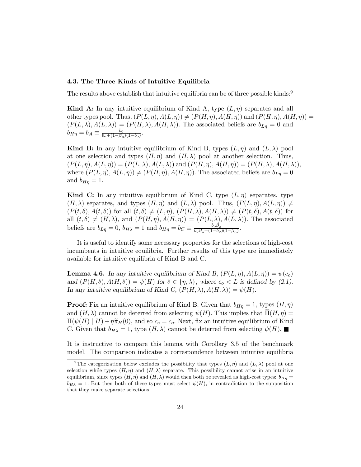#### 4.3. The Three Kinds of Intuitive Equilibria

The results above establish that intuitive equilibria can be of three possible kinds:<sup>9</sup>

**Kind A:** In any intuitive equilibrium of Kind A, type  $(L, \eta)$  separates and all other types pool. Thus,  $(P(L, \eta), A(L, \eta)) \neq (P(H, \eta), A(H, \eta))$  and  $(P(H, \eta), A(H, \eta))$  $(P(L, \lambda), A(L, \lambda)) = (P(H, \lambda), A(H, \lambda))$ . The associated beliefs are  $b_{L\eta} = 0$  and  $b_{H\eta} = b_A \equiv \frac{b_0}{b_o + (1 - \beta_o)(1 - b_o)}.$ 

**Kind B:** In any intuitive equilibrium of Kind B, types  $(L, \eta)$  and  $(L, \lambda)$  pool at one selection and types  $(H, \eta)$  and  $(H, \lambda)$  pool at another selection. Thus,  $(P(L, \eta), A(L, \eta)) = (P(L, \lambda), A(L, \lambda))$  and  $(P(H, \eta), A(H, \eta)) = (P(H, \lambda), A(H, \lambda)),$ where  $(P(L, \eta), A(L, \eta)) \neq (P(H, \eta), A(H, \eta))$ . The associated beliefs are  $b_{L\eta} = 0$ and  $b_{H\eta} = 1$ .

Kind C: In any intuitive equilibrium of Kind C, type  $(L, \eta)$  separates, type  $(H, \lambda)$  separates, and types  $(H, \eta)$  and  $(L, \lambda)$  pool. Thus,  $(P(L, \eta), A(L, \eta)) \neq$  $(P(t, \delta), A(t, \delta))$  for all  $(t, \delta) \neq (L, \eta), (P(H, \lambda), A(H, \lambda)) \neq (P(t, \delta), A(t, \delta))$  for all  $(t, \delta) \neq (H, \lambda)$ , and  $(P(H, \eta), A(H, \eta)) = (P(L, \lambda), A(L, \lambda))$ . The associated beliefs are  $b_{L\eta} = 0$ ,  $b_{H\lambda} = 1$  and  $b_{H\eta} = b_C \equiv \frac{b_o \beta_o}{b_o \beta_o + (1 - b_o)(1 - \beta_o)}$ .

It is useful to identify some necessary properties for the selections of high-cost incumbents in intuitive equilibria. Further results of this type are immediately available for intuitive equilibria of Kind B and C.

**Lemma 4.6.** In any intuitive equilibrium of Kind B,  $(P(L, \eta), A(L, \eta)) = \psi(c_o)$ and  $(P(H, \delta), A(H, \delta)) = \psi(H)$  for  $\delta \in \{\eta, \lambda\}$ , where  $c_o < L$  is defined by (2.1). In any intuitive equilibrium of Kind C,  $(P(H, \lambda), A(H, \lambda)) = \psi(H)$ .

**Proof:** Fix an intuitive equilibrium of Kind B. Given that  $b_{H\eta} = 1$ , types  $(H, \eta)$ and  $(H, \lambda)$  cannot be deterred from selecting  $\psi(H)$ . This implies that  $\Pi(H, \eta) =$  $\Pi(\psi(H) | H) + \eta \tilde{\pi}_H(0)$ , and so  $c_e = c_o$ . Next, fix an intuitive equilibrium of Kind C. Given that  $b_{H\lambda} = 1$ , type  $(H, \lambda)$  cannot be deterred from selecting  $\psi(H)$ .

It is instructive to compare this lemma with Corollary 3.5 of the benchmark model. The comparison indicates a correspondence between intuitive equilibria

<sup>&</sup>lt;sup>9</sup>The categorization below excludes the possibility that types  $(L, \eta)$  and  $(L, \lambda)$  pool at one selection while types  $(H, \eta)$  and  $(H, \lambda)$  separate. This possibility cannot arise in an intuitive equilibrium, since types  $(H, \eta)$  and  $(H, \lambda)$  would then both be revealed as high-cost types:  $b_{H\eta} =$  $b_{H\lambda} = 1$ . But then both of these types must select  $\psi(H)$ , in contradiction to the supposition that they make separate selections.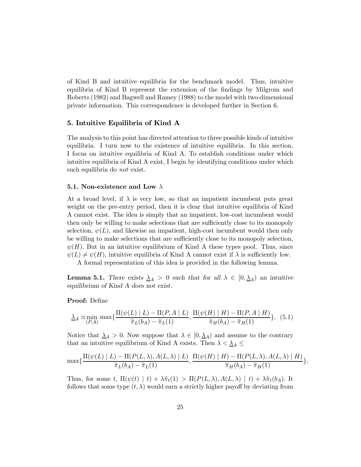of Kind B and intuitive equilibria for the benchmark model. Thus, intuitive equilibria of Kind B represent the extension of the findings by Milgrom and Roberts (1982) and Bagwell and Ramey (1988) to the model with two-dimensional private information. This correspondence is developed further in Section 6.

#### 5. Intuitive Equilibria of Kind A

The analysis to this point has directed attention to three possible kinds of intuitive equilibria. I turn now to the existence of intuitive equilibria. In this section, I focus on intuitive equilibria of Kind A. To establish conditions under which intuitive equilibria of Kind A exist, I begin by identifying conditions under which such equilibria do not exist.

#### 5.1. Non-existence and Low  $\lambda$

At a broad level, if  $\lambda$  is very low, so that an impatient incumbent puts great weight on the pre-entry period, then it is clear that intuitive equilibria of Kind A cannot exist. The idea is simply that an impatient, low-cost incumbent would then only be willing to make selections that are sufficiently close to its monopoly selection,  $\psi(L)$ , and likewise an impatient, high-cost incumbent would then only be willing to make selections that are sufficiently close to its monopoly selection,  $\psi(H)$ . But in an intuitive equilibrium of Kind A these types pool. Thus, since  $\psi(L) \neq \psi(H)$ , intuitive equilibria of Kind A cannot exist if  $\lambda$  is sufficiently low.

A formal representation of this idea is provided in the following lemma.

**Lemma 5.1.** There exists  $\lambda_A > 0$  such that for all  $\lambda \in [0, \lambda_A)$  an intuitive equilibrium of Kind A does not exist.

#### Proof: Define

$$
\Delta_A \equiv \min_{(P,A)} \max\{\frac{\Pi(\psi(L) \mid L) - \Pi(P,A \mid L)}{\widetilde{\pi}_L(b_A) - \widetilde{\pi}_L(1)}, \frac{\Pi(\psi(H) \mid H) - \Pi(P,A \mid H)}{\widetilde{\pi}_H(b_A) - \widetilde{\pi}_H(1)}\}.
$$
(5.1)

Notice that  $\lambda_A > 0$ . Now suppose that  $\lambda \in [0, \lambda_A)$  and assume to the contrary that an intuitive equilibrium of Kind A exists. Then  $\lambda < \underline{\lambda}_A \leq$ 

$$
\max\{\frac{\Pi(\psi(L) \mid L) - \Pi(P(L, \lambda), A(L, \lambda) \mid L)}{\widetilde{\pi}_L(b_A) - \widetilde{\pi}_L(1)}, \frac{\Pi(\psi(H) \mid H) - \Pi(P(L, \lambda), A(L, \lambda) \mid H)}{\widetilde{\pi}_H(b_A) - \widetilde{\pi}_H(1)}\}.
$$

Thus, for some t,  $\Pi(\psi(t) | t) + \lambda \tilde{\pi}_t(1) > \Pi(P(L, \lambda), A(L, \lambda) | t) + \lambda \tilde{\pi}_t(b_A)$ . It follows that some type  $(t, \lambda)$  would earn a strictly higher payoff by deviating from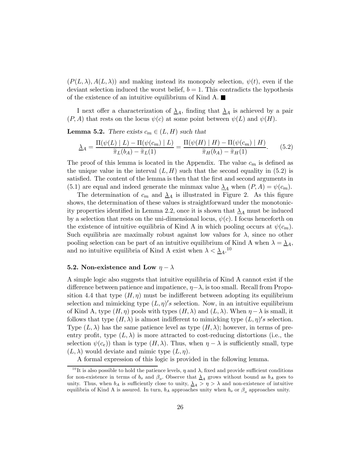$(P(L, \lambda), A(L, \lambda))$  and making instead its monopoly selection,  $\psi(t)$ , even if the deviant selection induced the worst belief,  $b = 1$ . This contradicts the hypothesis of the existence of an intuitive equilibrium of Kind A.  $\blacksquare$ 

I next offer a characterization of  $\lambda_A$ , finding that  $\lambda_A$  is achieved by a pair  $(P, A)$  that rests on the locus  $\psi(c)$  at some point between  $\psi(L)$  and  $\psi(H)$ .

**Lemma 5.2.** There exists  $c_m \in (L, H)$  such that

$$
\underline{\lambda}_A = \frac{\Pi(\psi(L) \mid L) - \Pi(\psi(c_m) \mid L)}{\widetilde{\pi}_L(b_A) - \widetilde{\pi}_L(1)} = \frac{\Pi(\psi(H) \mid H) - \Pi(\psi(c_m) \mid H)}{\widetilde{\pi}_H(b_A) - \widetilde{\pi}_H(1)}.
$$
(5.2)

The proof of this lemma is located in the Appendix. The value  $c_m$  is defined as the unique value in the interval  $(L, H)$  such that the second equality in (5.2) is satisfied. The content of the lemma is then that the first and second arguments in (5.1) are equal and indeed generate the minmax value  $\lambda_A$  when  $(P, A) = \psi(c_m)$ .

The determination of  $c_m$  and  $\lambda_A$  is illustrated in Figure 2. As this figure shows, the determination of these values is straightforward under the monotonicity properties identified in Lemma 2.2, once it is shown that  $\lambda_A$  must be induced by a selection that rests on the uni-dimensional locus,  $\psi(c)$ . I focus henceforth on the existence of intuitive equilibria of Kind A in which pooling occurs at  $\psi(c_m)$ . Such equilibria are maximally robust against low values for  $\lambda$ , since no other pooling selection can be part of an intuitive equilibrium of Kind A when  $\lambda = \lambda_A$ , and no intuitive equilibria of Kind A exist when  $\lambda < \underline{\lambda}_{A}$ .<sup>10</sup>

#### 5.2. Non-existence and Low  $\eta - \lambda$

A simple logic also suggests that intuitive equilibria of Kind A cannot exist if the difference between patience and impatience,  $\eta - \lambda$ , is too small. Recall from Proposition 4.4 that type  $(H, \eta)$  must be indifferent between adopting its equilibrium selection and mimicking type  $(L, \eta)'s$  selection. Now, in an intuitive equilibrium of Kind A, type  $(H, \eta)$  pools with types  $(H, \lambda)$  and  $(L, \lambda)$ . When  $\eta - \lambda$  is small, it follows that type  $(H, \lambda)$  is almost indifferent to mimicking type  $(L, \eta)'s$  selection. Type  $(L, \lambda)$  has the same patience level as type  $(H, \lambda)$ ; however, in terms of preentry profit, type  $(L, \lambda)$  is more attracted to cost-reducing distortions (i.e., the selection  $\psi(c_e)$  than is type  $(H, \lambda)$ . Thus, when  $\eta - \lambda$  is sufficiently small, type  $(L, \lambda)$  would deviate and mimic type  $(L, \eta)$ .

A formal expression of this logic is provided in the following lemma.

<sup>&</sup>lt;sup>10</sup>It is also possible to hold the patience levels,  $\eta$  and  $\lambda$ , fixed and provide sufficient conditions for non-existence in terms of  $b_o$  and  $\beta_o$ . Observe that  $\lambda_A$  grows without bound as  $b_A$  goes to unity. Thus, when  $b_A$  is sufficiently close to unity,  $\lambda_A > \eta > \lambda$  and non-existence of intuitive equilibria of Kind A is assured. In turn,  $b_A$  approaches unity when  $b_o$  or  $\beta_o$  approaches unity.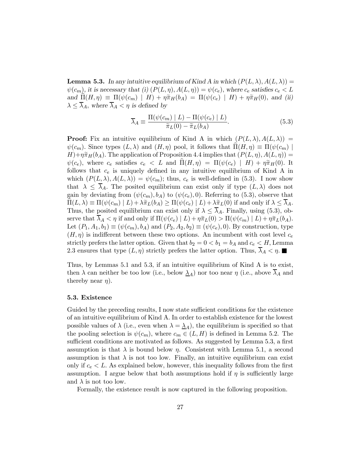**Lemma 5.3.** In any intuitive equilibrium of Kind A in which  $(P(L, \lambda), A(L, \lambda))$  =  $\psi(c_m)$ , it is necessary that (i)  $(P(L, \eta), A(L, \eta)) = \psi(c_e)$ , where  $c_e$  satisfies  $c_e < L$ and  $\widehat{\Pi}(H, \eta) \equiv \Pi(\psi(c_m) | H) + \eta \widetilde{\pi}_H(b_A) = \Pi(\psi(c_e) | H) + \eta \widetilde{\pi}_H(0)$ , and (ii)  $\lambda \leq \overline{\lambda}_A$ , where  $\overline{\lambda}_A < \eta$  is defined by

$$
\overline{\lambda}_A \equiv \frac{\Pi(\psi(c_m) \mid L) - \Pi(\psi(c_e) \mid L)}{\widetilde{\pi}_L(0) - \widetilde{\pi}_L(b_A)}.
$$
\n(5.3)

**Proof:** Fix an intuitive equilibrium of Kind A in which  $(P(L, \lambda), A(L, \lambda))$  $\psi(c_m)$ . Since types  $(L, \lambda)$  and  $(H, \eta)$  pool, it follows that  $\Pi(H, \eta) \equiv \Pi(\psi(c_m) |$  $H$ )+ $\eta \widetilde{\pi}_H(b_A)$ . The application of Proposition 4.4 implies that  $(P(L, \eta), A(L, \eta)) =$  $\psi(c_e)$ , where  $c_e$  satisfies  $c_e < L$  and  $\Pi(H, \eta) = \Pi(\psi(c_e) \mid H) + \eta \tilde{\pi}_H(0)$ . It follows that  $c_e$  is uniquely defined in any intuitive equilibrium of Kind A in which  $(P(L, \lambda), A(L, \lambda)) = \psi(c_m)$ ; thus,  $c_e$  is well-defined in (5.3). I now show that  $\lambda \leq \overline{\lambda}_A$ . The posited equilibrium can exist only if type  $(L, \lambda)$  does not gain by deviating from  $(\psi(c_m), b_A)$  to  $(\psi(c_e), 0)$ . Referring to (5.3), observe that  $\Pi(L, \lambda) \equiv \Pi(\psi(c_m) | L) + \lambda \tilde{\pi}_L(b_A) \geq \Pi(\psi(c_e) | L) + \lambda \tilde{\pi}_L(0)$  if and only if  $\lambda \leq \overline{\lambda}_A$ . Thus, the posited equilibrium can exist only if  $\lambda \leq \overline{\lambda}_A$ . Finally, using (5.3), observe that  $\overline{\lambda}_A < \eta$  if and only if  $\Pi(\psi(c_e) | L) + \eta \tilde{\pi}_L(0) > \Pi(\psi(c_m) | L) + \eta \tilde{\pi}_L(b_A)$ . Let  $(P_1, A_1, b_1) \equiv (\psi(c_m), b_A)$  and  $(P_2, A_2, b_2) \equiv (\psi(c_e), 0)$ . By construction, type  $(H, \eta)$  is indifferent between these two options. An incumbent with cost level  $c_e$ strictly prefers the latter option. Given that  $b_2 = 0 < b_1 = b_A$  and  $c_e < H$ , Lemma 2.3 ensures that type  $(L, \eta)$  strictly prefers the latter option. Thus,  $\lambda_A < \eta$ .

Thus, by Lemmas 5.1 and 5.3, if an intuitive equilibrium of Kind A is to exist, then  $\lambda$  can neither be too low (i.e., below  $\underline{\lambda}_A$ ) nor too near  $\eta$  (i.e., above  $\overline{\lambda}_A$  and thereby near  $\eta$ ).

#### 5.3. Existence

Guided by the preceding results, I now state sufficient conditions for the existence of an intuitive equilibrium of Kind A. In order to establish existence for the lowest possible values of  $\lambda$  (i.e., even when  $\lambda = \underline{\lambda}_{A}$ ), the equilibrium is specified so that the pooling selection is  $\psi(c_m)$ , where  $c_m \in (L, H)$  is defined in Lemma 5.2. The sufficient conditions are motivated as follows. As suggested by Lemma 5.3, a first assumption is that  $\lambda$  is bound below  $\eta$ . Consistent with Lemma 5.1, a second assumption is that  $\lambda$  is not too low. Finally, an intuitive equilibrium can exist only if  $c_e < L$ . As explained below, however, this inequality follows from the first assumption. I argue below that both assumptions hold if  $\eta$  is sufficiently large and  $\lambda$  is not too low.

Formally, the existence result is now captured in the following proposition.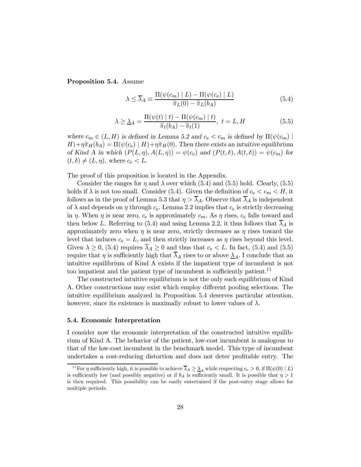Proposition 5.4. Assume

$$
\lambda \le \overline{\lambda}_A \equiv \frac{\Pi(\psi(c_m) \mid L) - \Pi(\psi(c_e) \mid L)}{\widetilde{\pi}_L(0) - \widetilde{\pi}_L(b_A)}\tag{5.4}
$$

$$
\lambda \ge \Delta_A = \frac{\Pi(\psi(t) \mid t) - \Pi(\psi(c_m) \mid t)}{\widetilde{\pi}_t(b_A) - \widetilde{\pi}_t(1)}, \ t = L, H \tag{5.5}
$$

where  $c_m \in (L, H)$  is defined in Lemma 5.2 and  $c_e < c_m$  is defined by  $\Pi(\psi(c_m))$  $H$ )+ $\eta \tilde{\pi}_H(b_A) = \Pi(\psi(c_e) \mid H) + \eta \tilde{\pi}_H(0)$ . Then there exists an intuitive equilibrium of Kind A in which  $(P(L, \eta), A(L, \eta)) = \psi(c_e)$  and  $(P(t, \delta), A(t, \delta)) = \psi(c_m)$  for  $(t, \delta) \neq (L, \eta)$ , where  $c_e < L$ .

The proof of this proposition is located in the Appendix.

Consider the ranges for  $\eta$  and  $\lambda$  over which (5.4) and (5.5) hold. Clearly, (5.5) holds if  $\lambda$  is not too small. Consider (5.4). Given the definition of  $c_e < c_m < H$ , it follows as in the proof of Lemma 5.3 that  $\eta > \overline{\lambda}_A$ . Observe that  $\overline{\lambda}_A$  is independent of  $\lambda$  and depends on  $\eta$  through  $c_e$ . Lemma 2.2 implies that  $c_e$  is strictly decreasing in  $\eta$ . When  $\eta$  is near zero,  $c_e$  is approximately  $c_m$ . As  $\eta$  rises,  $c_e$  falls toward and then below L. Referring to (5.4) and using Lemma 2.2, it thus follows that  $\overline{\lambda}_A$  is approximately zero when  $\eta$  is near zero, strictly decreases as  $\eta$  rises toward the level that induces  $c_e = L$ , and then strictly increases as  $\eta$  rises beyond this level. Given  $\lambda \geq 0$ , (5.4) requires  $\lambda_A \geq 0$  and thus that  $c_e < L$ . In fact, (5.4) and (5.5) require that  $\eta$  is sufficiently high that  $\overline{\lambda}_A$  rises to or above  $\underline{\lambda}_A$ . I conclude that an intuitive equilibrium of Kind A exists if the impatient type of incumbent is not too impatient and the patient type of incumbent is sufficiently patient.<sup>11</sup>

The constructed intuitive equilibrium is not the only such equilibrium of Kind A. Other constructions may exist which employ different pooling selections. The intuitive equilibrium analyzed in Proposition 5.4 deserves particular attention, however, since its existence is maximally robust to lower values of  $\lambda$ .

#### 5.4. Economic Interpretation

I consider now the economic interpretation of the constructed intuitive equilibrium of Kind A. The behavior of the patient, low-cost incumbent is analogous to that of the low-cost incumbent in the benchmark model. This type of incumbent undertakes a cost-reducing distortion and does not deter profitable entry. The

<sup>&</sup>lt;sup>11</sup> For  $\eta$  sufficiently high, it is possible to achieve  $\overline{\lambda}_A \geq \underline{\lambda}_A$  while respecting  $c_e > 0$ , if  $\Pi(\psi(0) | L)$ is sufficiently low (and possibly negative) or if  $b<sub>A</sub>$  is sufficiently small. It is possible that  $\eta > 1$ is then required. This possibility can be easily entertained if the post-entry stage allows for multiple periods.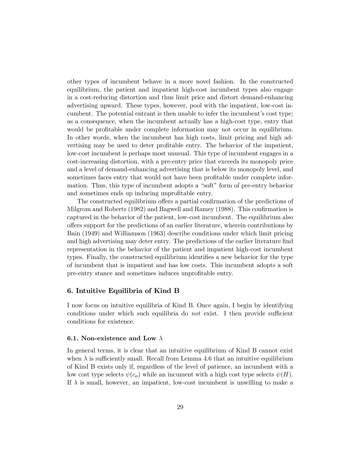other types of incumbent behave in a more novel fashion. In the constructed equilibrium, the patient and impatient high-cost incumbent types also engage in a cost-reducing distortion and thus limit price and distort demand-enhancing advertising upward. These types, however, pool with the impatient, low-cost incumbent. The potential entrant is then unable to infer the incumbent's cost type; as a consequence, when the incumbent actually has a high-cost type, entry that would be profitable under complete information may not occur in equilibrium. In other words, when the incumbent has high costs, limit pricing and high advertising may be used to deter profitable entry. The behavior of the impatient, low-cost incumbent is perhaps most unusual. This type of incumbent engages in a cost-increasing distortion, with a pre-entry price that exceeds its monopoly price and a level of demand-enhancing advertising that is below its monopoly level, and sometimes faces entry that would not have been profitable under complete information. Thus, this type of incumbent adopts a "soft" form of pre-entry behavior and sometimes ends up inducing unprofitable entry.

The constructed equilibrium offers a partial confirmation of the predictions of Milgrom and Roberts (1982) and Bagwell and Ramey (1988). This confirmation is captured in the behavior of the patient, low-cost incumbent. The equilibrium also offers support for the predictions of an earlier literature, wherein contributions by Bain (1949) and Williamson (1963) describe conditions under which limit pricing and high advertising may deter entry. The predictions of the earlier literature find representation in the behavior of the patient and impatient high-cost incumbent types. Finally, the constructed equilibrium identifies a new behavior for the type of incumbent that is impatient and has low costs. This incumbent adopts a soft pre-entry stance and sometimes induces unprofitable entry.

#### 6. Intuitive Equilibria of Kind B

I now focus on intuitive equilibria of Kind B. Once again, I begin by identifying conditions under which such equilibria do not exist. I then provide sufficient conditions for existence.

#### 6.1. Non-existence and Low  $\lambda$

In general terms, it is clear that an intuitive equilibrium of Kind B cannot exist when  $\lambda$  is sufficiently small. Recall from Lemma 4.6 that an intuitive equilibrium of Kind B exists only if, regardless of the level of patience, an incumbent with a low cost type selects  $\psi(c_o)$  while an incument with a high cost type selects  $\psi(H)$ . If  $\lambda$  is small, however, an impatient, low-cost incumbent is unwilling to make a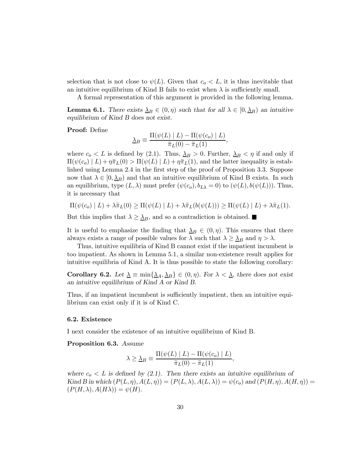selection that is not close to  $\psi(L)$ . Given that  $c_0 < L$ , it is thus inevitable that an intuitive equilibrium of Kind B fails to exist when  $\lambda$  is sufficiently small.

A formal representation of this argument is provided in the following lemma.

**Lemma 6.1.** There exists  $\Delta_B \in (0, \eta)$  such that for all  $\lambda \in [0, \Delta_B)$  an intuitive equilibrium of Kind B does not exist.

Proof: Define

$$
\Delta_B \equiv \frac{\Pi(\psi(L) \mid L) - \Pi(\psi(c_o) \mid L)}{\widetilde{\pi}_L(0) - \widetilde{\pi}_L(1)},
$$

where  $c_o < L$  is defined by (2.1). Thus,  $\Delta_B > 0$ . Further,  $\Delta_B < \eta$  if and only if  $\Pi(\psi(c_o) | L) + \eta \tilde{\pi}_L(0) > \Pi(\psi(L) | L) + \eta \tilde{\pi}_L(1)$ , and the latter inequality is established using Lemma 2.4 in the first step of the proof of Proposition 3.3. Suppose now that  $\lambda \in [0, \underline{\lambda}_B)$  and that an intuitive equilibrium of Kind B exists. In such an equilibrium, type  $(L, \lambda)$  must prefer  $(\psi(c_o), b_{L\lambda} = 0)$  to  $(\psi(L), b(\psi(L)))$ . Thus, it is necessary that

$$
\Pi(\psi(c_o) \mid L) + \lambda \tilde{\pi}_L(0) \geq \Pi(\psi(L) \mid L) + \lambda \tilde{\pi}_L(b(\psi(L))) \geq \Pi(\psi(L) \mid L) + \lambda \tilde{\pi}_L(1).
$$

But this implies that  $\lambda \geq \lambda_B$ , and so a contradiction is obtained.

It is useful to emphasize the finding that  $\Delta_B \in (0, \eta)$ . This ensures that there always exists a range of possible values for  $\lambda$  such that  $\lambda \geq \underline{\lambda}_B$  and  $\eta > \lambda$ .

Thus, intuitive equilibria of Kind B cannot exist if the impatient incumbent is too impatient. As shown in Lemma 5.1, a similar non-existence result applies for intuitive equilibria of Kind A. It is thus possible to state the following corollary:

Corollary 6.2. Let  $\underline{\lambda} \equiv \min\{\underline{\lambda}_A, \underline{\lambda}_B\} \in (0, \eta)$ . For  $\lambda < \underline{\lambda}$ , there does not exist an intuitive equilibrium of Kind A or Kind B.

Thus, if an impatient incumbent is sufficiently impatient, then an intuitive equilibrium can exist only if it is of Kind C.

#### 6.2. Existence

I next consider the existence of an intuitive equilibrium of Kind B.

Proposition 6.3. Assume

$$
\lambda \geq \underline{\lambda}_B \equiv \frac{\Pi(\psi(L) \mid L) - \Pi(\psi(c_o) \mid L)}{\widetilde{\pi}_L(0) - \widetilde{\pi}_L(1)},
$$

where  $c_0 < L$  is defined by (2.1). Then there exists an intuitive equilibrium of Kind B in which  $(P(L, \eta), A(L, \eta)) = (P(L, \lambda), A(L, \lambda)) = \psi(c_o)$  and  $(P(H, \eta), A(H, \eta)) =$  $(P(H, \lambda), A(H\lambda)) = \psi(H).$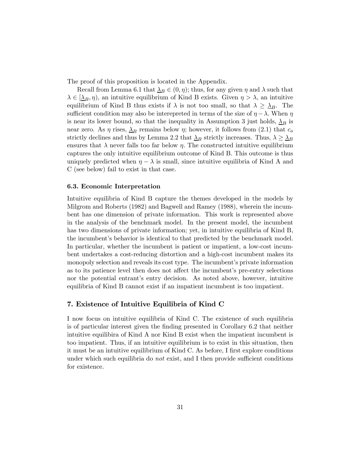The proof of this proposition is located in the Appendix.

Recall from Lemma 6.1 that  $\Delta_B \in (0, \eta)$ ; thus, for any given  $\eta$  and  $\lambda$  such that  $\lambda \in [\underline{\lambda}_B, \eta)$ , an intuitive equilibrium of Kind B exists. Given  $\eta > \lambda$ , an intuitive equilibrium of Kind B thus exists if  $\lambda$  is not too small, so that  $\lambda \geq \lambda_B$ . The sufficient condition may also be interepreted in terms of the size of  $\eta - \lambda$ . When  $\eta$ is near its lower bound, so that the inequality in Assumption 3 just holds,  $\Delta_B$  is near zero. As  $\eta$  rises,  $\Delta_B$  remains below  $\eta$ ; however, it follows from (2.1) that  $c_o$ strictly declines and thus by Lemma 2.2 that  $\Delta_B$  strictly increases. Thus,  $\lambda \geq \Delta_B$ ensures that  $\lambda$  never falls too far below  $\eta$ . The constructed intuitive equilibrium captures the only intuitive equilibrium outcome of Kind B. This outcome is thus uniquely predicted when  $\eta - \lambda$  is small, since intuitive equilibria of Kind A and C (see below) fail to exist in that case.

#### 6.3. Economic Interpretation

Intuitive equilibria of Kind B capture the themes developed in the models by Milgrom and Roberts (1982) and Bagwell and Ramey (1988), wherein the incumbent has one dimension of private information. This work is represented above in the analysis of the benchmark model. In the present model, the incumbent has two dimensions of private information; yet, in intuitive equilibria of Kind B, the incumbent's behavior is identical to that predicted by the benchmark model. In particular, whether the incumbent is patient or impatient, a low-cost incumbent undertakes a cost-reducing distortion and a high-cost incumbent makes its monopoly selection and reveals its cost type. The incumbent's private information as to its patience level then does not affect the incumbent's pre-entry selections nor the potential entrant's entry decision. As noted above, however, intuitive equilibria of Kind B cannot exist if an impatient incumbent is too impatient.

#### 7. Existence of Intuitive Equilibria of Kind C

I now focus on intuitive equilibria of Kind C. The existence of such equilibria is of particular interest given the finding presented in Corollary 6.2 that neither intuitive equilibira of Kind A nor Kind B exist when the impatient incumbent is too impatient. Thus, if an intuitive equilibrium is to exist in this situation, then it must be an intuitive equilibrium of Kind C. As before, I first explore conditions under which such equilibria do *not* exist, and I then provide sufficient conditions for existence.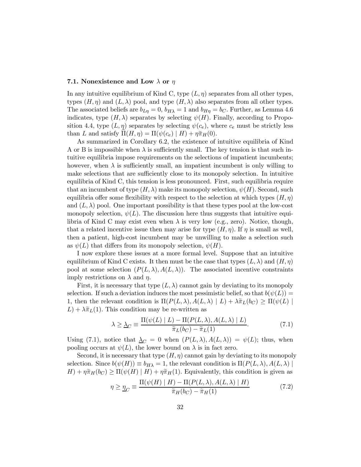#### 7.1. Nonexistence and Low  $\lambda$  or  $\eta$

In any intuitive equilibrium of Kind C, type  $(L, \eta)$  separates from all other types, types  $(H, \eta)$  and  $(L, \lambda)$  pool, and type  $(H, \lambda)$  also separates from all other types. The associated beliefs are  $b_{L\eta} = 0$ ,  $b_{H\lambda} = 1$  and  $b_{H\eta} = b_C$ . Further, as Lemma 4.6 indicates, type  $(H, \lambda)$  separates by selecting  $\psi(H)$ . Finally, according to Proposition 4.4, type  $(L, \eta)$  separates by selecting  $\psi(c_e)$ , where  $c_e$  must be strictly less than L and satisfy  $\Pi(H, \eta) = \Pi(\psi(c_e) | H) + \eta \tilde{\pi}_H(0).$ 

As summarized in Corollary 6.2, the existence of intuitive equilibria of Kind A or B is impossible when  $\lambda$  is sufficiently small. The key tension is that such intuitive equilibria impose requirements on the selections of impatient incumbents; however, when  $\lambda$  is sufficiently small, an impatient incumbent is only willing to make selections that are sufficiently close to its monopoly selection. In intuitive equilibria of Kind C, this tension is less pronounced. First, such equilibria require that an incumbent of type  $(H, \lambda)$  make its monopoly selection,  $\psi(H)$ . Second, such equilibria offer some flexibility with respect to the selection at which types  $(H, \eta)$ and  $(L, \lambda)$  pool. One important possibility is that these types pool at the low-cost monopoly selection,  $\psi(L)$ . The discussion here thus suggests that intuitive equilibria of Kind C may exist even when  $\lambda$  is very low (e.g., zero). Notice, though, that a related incentive issue then may arise for type  $(H, \eta)$ . If  $\eta$  is small as well, then a patient, high-cost incumbent may be unwilling to make a selection such as  $\psi(L)$  that differs from its monopoly selection,  $\psi(H)$ .

I now explore these issues at a more formal level. Suppose that an intuitive equilibrium of Kind C exists. It then must be the case that types  $(L, \lambda)$  and  $(H, \eta)$ pool at some selection  $(P(L, \lambda), A(L, \lambda))$ . The associated incentive constraints imply restrictions on  $\lambda$  and  $\eta$ .

First, it is necessary that type  $(L, \lambda)$  cannot gain by deviating to its monopoly selection. If such a deviation induces the most pessimistic belief, so that  $b(\psi(L)) =$ 1, then the relevant condition is  $\Pi(P(L, \lambda), A(L, \lambda) | L) + \lambda \tilde{\pi}_L(b_C) \geq \Pi(\psi(L))$  $L + \lambda \tilde{\pi}_L(1)$ . This condition may be re-written as

$$
\lambda \ge \Delta_C \equiv \frac{\Pi(\psi(L) \mid L) - \Pi(P(L, \lambda), A(L, \lambda) \mid L)}{\tilde{\pi}_L(b_C) - \tilde{\pi}_L(1)}.
$$
(7.1)

Using (7.1), notice that  $\Delta_C = 0$  when  $(P(L, \lambda), A(L, \lambda)) = \psi(L)$ ; thus, when pooling occurs at  $\psi(L)$ , the lower bound on  $\lambda$  is in fact zero.

Second, it is necessary that type  $(H, \eta)$  cannot gain by deviating to its monopoly selection. Since  $b(\psi(H)) \equiv b_{H\lambda} = 1$ , the relevant condition is  $\Pi(P(L,\lambda), A(L,\lambda))$  $H) + \eta \tilde{\pi}_H(b_C) \ge \Pi(\psi(H) | H) + \eta \tilde{\pi}_H(1)$ . Equivalently, this condition is given as

$$
\eta \ge \underline{\eta}_C \equiv \frac{\Pi(\psi(H) \mid H) - \Pi(P(L, \lambda), A(L, \lambda) \mid H)}{\widetilde{\pi}_H(b_C) - \widetilde{\pi}_H(1)}
$$
(7.2)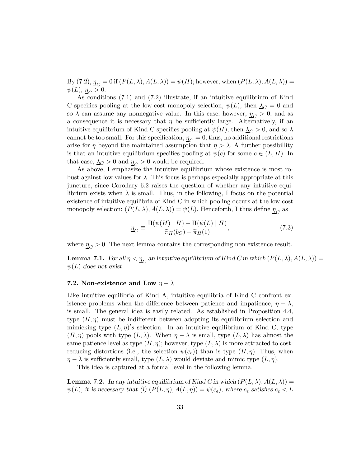By  $(7.2), \underline{\eta}_C = 0$  if  $(P(L, \lambda), A(L, \lambda)) = \psi(H)$ ; however, when  $(P(L, \lambda), A(L, \lambda)) = \psi(H)$  $\psi(L), \underline{\eta_C} > 0.$ 

As conditions (7.1) and (7.2) illustrate, if an intuitive equilibrium of Kind C specifies pooling at the low-cost monopoly selection,  $\psi(L)$ , then  $\Delta_C = 0$  and so  $\lambda$  can assume any nonnegative value. In this case, however,  $\eta_C > 0$ , and as a consequence it is necessary that  $\eta$  be sufficiently large. Alternatively, if an intuitive equilibrium of Kind C specifies pooling at  $\psi(H)$ , then  $\Delta_C > 0$ , and so  $\lambda$ cannot be too small. For this specification,  $\eta_C = 0$ ; thus, no additional restrictions arise for  $\eta$  beyond the maintained assumption that  $\eta > \lambda$ . A further possibility is that an intuitive equilibrium specifies pooling at  $\psi(c)$  for some  $c \in (L, H)$ . In that case,  $\Delta_C > 0$  and  $\eta_C > 0$  would be required.

As above, I emphasize the intuitive equilibrium whose existence is most robust against low values for  $\lambda$ . This focus is perhaps especially appropriate at this juncture, since Corollary 6.2 raises the question of whether any intuitive equilibrium exists when  $\lambda$  is small. Thus, in the following, I focus on the potential existence of intuitive equilibria of Kind C in which pooling occurs at the low-cost monopoly selection:  $(P(L, \lambda), A(L, \lambda)) = \psi(L)$ . Henceforth, I thus define  $\eta_C$  as

$$
\underline{\eta}_C \equiv \frac{\Pi(\psi(H) \mid H) - \Pi(\psi(L) \mid H)}{\widetilde{\pi}_H(b_C) - \widetilde{\pi}_H(1)},\tag{7.3}
$$

where  $\eta_C > 0$ . The next lemma contains the corresponding non-existence result.

**Lemma 7.1.** For all  $\eta < \underline{\eta}_C$  an intuitive equilibrium of Kind C in which  $(P(L, \lambda), A(L, \lambda))$  $\psi(L)$  does not exist.

#### 7.2. Non-existence and Low  $\eta - \lambda$

Like intuitive equilibria of Kind A, intuitive equilibria of Kind C confront existence problems when the difference between patience and impatience,  $\eta - \lambda$ , is small. The general idea is easily related. As established in Proposition 4.4, type  $(H, \eta)$  must be indifferent between adopting its equilibrium selection and mimicking type  $(L, \eta)'s$  selection. In an intuitive equilibrium of Kind C, type  $(H, \eta)$  pools with type  $(L, \lambda)$ . When  $\eta - \lambda$  is small, type  $(L, \lambda)$  has almost the same patience level as type  $(H, \eta)$ ; however, type  $(L, \lambda)$  is more attracted to costreducing distortions (i.e., the selection  $\psi(c_e)$ ) than is type  $(H, \eta)$ . Thus, when  $\eta - \lambda$  is sufficiently small, type  $(L, \lambda)$  would deviate and mimic type  $(L, \eta)$ .

This idea is captured at a formal level in the following lemma.

**Lemma 7.2.** In any intuitive equilibrium of Kind C in which  $(P(L, \lambda), A(L, \lambda))$  $\psi(L)$ , it is necessary that (i)  $(P(L, \eta), A(L, \eta)) = \psi(c_e)$ , where  $c_e$  satisfies  $c_e < L$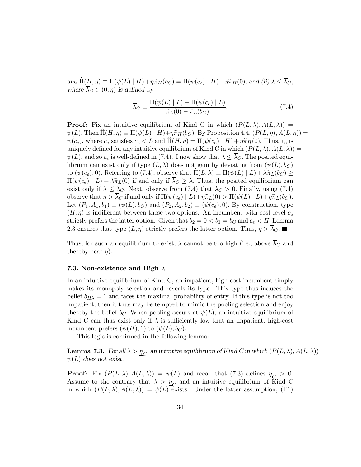and  $\widehat{\Pi}(H, \eta) \equiv \Pi(\psi(L) \mid H) + \eta \widetilde{\pi}_H(b_C) = \Pi(\psi(c_e) \mid H) + \eta \widetilde{\pi}_H(0)$ , and (ii)  $\lambda \leq \overline{\lambda}_C$ , where  $\overline{\lambda}_C \in (0, \eta)$  is defined by

$$
\overline{\lambda}_C \equiv \frac{\Pi(\psi(L) \mid L) - \Pi(\psi(c_e) \mid L)}{\widetilde{\pi}_L(0) - \widetilde{\pi}_L(b_C)}.
$$
\n(7.4)

**Proof:** Fix an intuitive equilibrium of Kind C in which  $(P(L, \lambda), A(L, \lambda))$  $\psi(L)$ . Then  $\Pi(H, \eta) \equiv \Pi(\psi(L) | H) + \eta \tilde{\pi}_H(b_C)$ . By Proposition 4.4,  $(P(L, \eta), A(L, \eta)) =$  $\psi(c_e)$ , where  $c_e$  satisfies  $c_e < L$  and  $\Pi(H, \eta) = \Pi(\psi(c_e) | H) + \eta \tilde{\pi}_H(0)$ . Thus,  $c_e$  is uniquely defined for any intuitive equilibrium of Kind C in which  $(P(L, \lambda), A(L, \lambda)) =$  $\psi(L)$ , and so  $c_e$  is well-defined in (7.4). I now show that  $\lambda \leq \overline{\lambda}_C$ . The posited equilibrium can exist only if type  $(L, \lambda)$  does not gain by deviating from  $(\psi(L), b_C)$ to  $(\psi(c_e), 0)$ . Referring to (7.4), observe that  $\hat{\Pi}(L, \lambda) \equiv \Pi(\psi(L) | L) + \lambda \tilde{\pi}_L(b_C) \geq$  $\Pi(\psi(c_e) | L) + \lambda \tilde{\pi}_L(0)$  if and only if  $\overline{\lambda}_C \geq \lambda$ . Thus, the posited equilibrium can exist only if  $\lambda \leq \overline{\lambda}_C$ . Next, observe from (7.4) that  $\overline{\lambda}_C > 0$ . Finally, using (7.4) observe that  $\eta > \overline{\lambda}_C$  if and only if  $\Pi(\psi(c_e) | L) + \eta \tilde{\pi}_L(0) > \Pi(\psi(L) | L) + \eta \tilde{\pi}_L(b_C)$ . Let  $(P_1, A_1, b_1) \equiv (\psi(L), b_C)$  and  $(P_2, A_2, b_2) \equiv (\psi(c_e), 0)$ . By construction, type  $(H, \eta)$  is indifferent between these two options. An incumbent with cost level  $c_e$ strictly prefers the latter option. Given that  $b_2 = 0 < b_1 = b_C$  and  $c_e < H$ , Lemma 2.3 ensures that type  $(L, \eta)$  strictly prefers the latter option. Thus,  $\eta > \lambda_C$ .

Thus, for such an equilibrium to exist,  $\lambda$  cannot be too high (i.e., above  $\overline{\lambda}_C$  and thereby near  $\eta$ ).

#### 7.3. Non-existence and High  $\lambda$

In an intuitive equilibrium of Kind C, an impatient, high-cost incumbent simply makes its monopoly selection and reveals its type. This type thus induces the belief  $b_{H\lambda} = 1$  and faces the maximal probability of entry. If this type is not too impatient, then it thus may be tempted to mimic the pooling selection and enjoy thereby the belief  $b_C$ . When pooling occurs at  $\psi(L)$ , an intuitive equilibrium of Kind C can thus exist only if  $\lambda$  is sufficiently low that an impatient, high-cost incumbent prefers  $(\psi(H), 1)$  to  $(\psi(L), b_C)$ .

This logic is confirmed in the following lemma:

**Lemma 7.3.** For all  $\lambda > \underline{\eta}_C$ , an intuitive equilibrium of Kind C in which  $(P(L, \lambda), A(L, \lambda))$  $\psi(L)$  does not exist.

**Proof:** Fix  $(P(L, \lambda), A(L, \lambda)) = \psi(L)$  and recall that (7.3) defines  $\eta_C > 0$ . Assume to the contrary that  $\lambda > \underline{\eta}_C$  and an intuitive equilibrium of Kind C in which  $(P(L, \lambda), A(L, \lambda)) = \psi(L)$  exists. Under the latter assumption, (E1)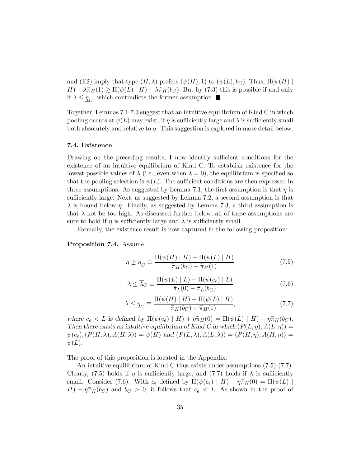and (E2) imply that type  $(H, \lambda)$  prefers  $(\psi(H), 1)$  to  $(\psi(L), b_C)$ . Thus,  $\Pi(\psi(H))$  $H) + \lambda \tilde{\pi}_H(1) \ge \Pi(\psi(L) | H) + \lambda \tilde{\pi}_H(b_C)$ . But by (7.3) this is possible if and only if  $\lambda \leq \eta_C$ , which contradicts the former assumption.

Together, Lemmas 7.1-7.3 suggest that an intuitive equilibrium of Kind C in which pooling occurs at  $\psi(L)$  may exist, if  $\eta$  is sufficiently large and  $\lambda$  is sufficiently small both absolutely and relative to  $\eta$ . This suggestion is explored in more detail below.

#### 7.4. Existence

Drawing on the preceding results, I now identify sufficient conditions for the existence of an intuitive equilibrium of Kind C. To establish existence for the lowest possible values of  $\lambda$  (i.e., even when  $\lambda = 0$ ), the equilibrium is specified so that the pooling selection is  $\psi(L)$ . The sufficient conditions are then expressed in three assumptions. As suggested by Lemma 7.1, the first assumption is that  $\eta$  is sufficiently large. Next, as suggested by Lemma 7.2, a second assumption is that  $\lambda$  is bound below  $\eta$ . Finally, as suggested by Lemma 7.3, a third assumption is that  $\lambda$  not be too high. As discussed further below, all of these assumptions are sure to hold if  $\eta$  is sufficiently large and  $\lambda$  is sufficiently small.

Formally, the existence result is now captured in the following proposition:

#### Proposition 7.4. Assume

$$
\eta \ge \underline{\eta}_C \equiv \frac{\Pi(\psi(H) \mid H) - \Pi(\psi(L) \mid H)}{\widetilde{\pi}_H(b_C) - \widetilde{\pi}_H(1)}\tag{7.5}
$$

$$
\lambda \leq \overline{\lambda}_C \equiv \frac{\Pi(\psi(L) \mid L) - \Pi(\psi(c_e) \mid L)}{\tilde{\pi}_L(0) - \tilde{\pi}_L(b_C)}\tag{7.6}
$$

$$
\lambda \le \underline{\eta}_C \equiv \frac{\Pi(\psi(H) \mid H) - \Pi(\psi(L) \mid H)}{\widetilde{\pi}_H(b_C) - \widetilde{\pi}_H(1)},\tag{7.7}
$$

where  $c_e < L$  is defined by  $\Pi(\psi(c_e) | H) + \eta \tilde{\pi}_H(0) = \Pi(\psi(L) | H) + \eta \tilde{\pi}_H(b_C)$ . Then there exists an intuitive equilibrium of Kind C in which  $(P(L, \eta), A(L, \eta)) =$  $\psi(c_e), (P(H, \lambda), A(H, \lambda)) = \psi(H)$  and  $(P(L, \lambda), A(L, \lambda)) = (P(H, \eta), A(H, \eta)) =$  $\psi(L)$ .

The proof of this proposition is located in the Appendix.

An intuitive equilibrium of Kind C thus exists under assumptions (7.5)-(7.7). Clearly, (7.5) holds if  $\eta$  is sufficiently large, and (7.7) holds if  $\lambda$  is sufficiently small. Consider (7.6). With  $c_e$  defined by  $\Pi(\psi(c_e) \mid H) + \eta \tilde{\pi}_H(0) = \Pi(\psi(L))$  $H$ ) +  $\eta \tilde{\pi}_H(b_C)$  and  $b_C > 0$ , it follows that  $c_e < L$ . As shown in the proof of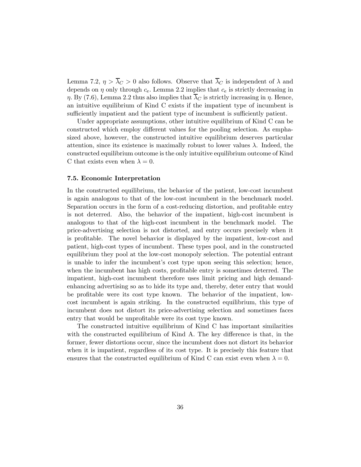Lemma 7.2,  $\eta > \overline{\lambda}_C > 0$  also follows. Observe that  $\overline{\lambda}_C$  is independent of  $\lambda$  and depends on  $\eta$  only through  $c_e$ . Lemma 2.2 implies that  $c_e$  is strictly decreasing in  $\eta$ . By (7.6), Lemma 2.2 thus also implies that  $\overline{\lambda}_C$  is strictly increasing in  $\eta$ . Hence, an intuitive equilibrium of Kind C exists if the impatient type of incumbent is sufficiently impatient and the patient type of incumbent is sufficiently patient.

Under appropriate assumptions, other intuitive equilibrium of Kind C can be constructed which employ different values for the pooling selection. As emphasized above, however, the constructed intuitive equilibrium deserves particular attention, since its existence is maximally robust to lower values  $\lambda$ . Indeed, the constructed equilibrium outcome is the only intuitive equilibrium outcome of Kind C that exists even when  $\lambda = 0$ .

#### 7.5. Economic Interpretation

In the constructed equilibrium, the behavior of the patient, low-cost incumbent is again analogous to that of the low-cost incumbent in the benchmark model. Separation occurs in the form of a cost-reducing distortion, and profitable entry is not deterred. Also, the behavior of the impatient, high-cost incumbent is analogous to that of the high-cost incumbent in the benchmark model. The price-advertising selection is not distorted, and entry occurs precisely when it is profitable. The novel behavior is displayed by the impatient, low-cost and patient, high-cost types of incumbent. These types pool, and in the constructed equilibrium they pool at the low-cost monopoly selection. The potential entrant is unable to infer the incumbent's cost type upon seeing this selection; hence, when the incumbent has high costs, profitable entry is sometimes deterred. The impatient, high-cost incumbent therefore uses limit pricing and high demandenhancing advertising so as to hide its type and, thereby, deter entry that would be profitable were its cost type known. The behavior of the impatient, lowcost incumbent is again striking. In the constructed equilibrium, this type of incumbent does not distort its price-advertising selection and sometimes faces entry that would be unprofitable were its cost type known.

The constructed intuitive equilibrium of Kind C has important similarities with the constructed equilibrium of Kind A. The key difference is that, in the former, fewer distortions occur, since the incumbent does not distort its behavior when it is impatient, regardless of its cost type. It is precisely this feature that ensures that the constructed equilibrium of Kind C can exist even when  $\lambda = 0$ .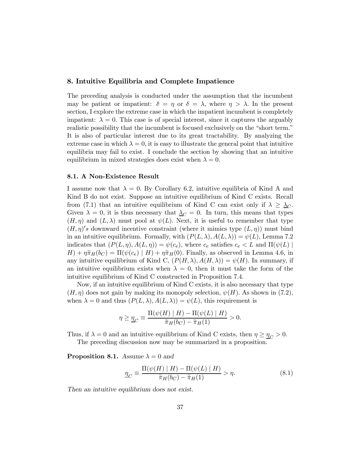#### 8. Intuitive Equilibria and Complete Impatience

The preceding analysis is conducted under the assumption that the incumbent may be patient or impatient:  $\delta = \eta$  or  $\delta = \lambda$ , where  $\eta > \lambda$ . In the present section, I explore the extreme case in which the impatient incumbent is completely impatient:  $\lambda = 0$ . This case is of special interest, since it captures the arguably realistic possibility that the incumbent is focused exclusively on the "short term." It is also of particular interest due to its great tractability. By analyzing the extreme case in which  $\lambda = 0$ , it is easy to illustrate the general point that intuitive equilibria may fail to exist. I conclude the section by showing that an intuitive equilibrium in mixed strategies does exist when  $\lambda = 0$ .

#### 8.1. A Non-Existence Result

I assume now that  $\lambda = 0$ . By Corollary 6.2, intuitive equilibria of Kind A and Kind B do not exist. Suppose an intuitive equilibrium of Kind C exists. Recall from (7.1) that an intuitive equilibrium of Kind C can exist only if  $\lambda \geq \lambda_C$ . Given  $\lambda = 0$ , it is thus necessary that  $\Delta_C = 0$ . In turn, this means that types  $(H, \eta)$  and  $(L, \lambda)$  must pool at  $\psi(L)$ . Next, it is useful to remember that type  $(H, \eta)'s$  downward incentive constraint (where it mimics type  $(L, \eta)$ ) must bind in an intuitive equilibrium. Formally, with  $(P(L, \lambda), A(L, \lambda)) = \psi(L)$ , Lemma 7.2 indicates that  $(P(L, \eta), A(L, \eta)) = \psi(c_e)$ , where  $c_e$  satisfies  $c_e < L$  and  $\Pi(\psi(L))$  $H$ ) +  $\eta \tilde{\pi}_H(b_C) = \Pi(\psi(c_e) | H) + \eta \tilde{\pi}_H(0)$ . Finally, as observed in Lemma 4.6, in any intuitive equilibrium of Kind C,  $(P(H, \lambda), A(H, \lambda)) = \psi(H)$ . In summary, if an intuitive equilibrium exists when  $\lambda = 0$ , then it must take the form of the intuitive equilibrium of Kind C constructed in Proposition 7.4.

Now, if an intuitive equilibrium of Kind C exists, it is also necessary that type  $(H, \eta)$  does not gain by making its monopoly selection,  $\psi(H)$ . As shown in (7.2), when  $\lambda = 0$  and thus  $(P(L, \lambda), A(L, \lambda)) = \psi(L)$ , this requirement is

$$
\eta \ge \underline{\eta}_C \equiv \frac{\Pi(\psi(H) \mid H) - \Pi(\psi(L) \mid H)}{\widetilde{\pi}_H(b_C) - \widetilde{\pi}_H(1)} > 0.
$$

Thus, if  $\lambda = 0$  and an intuitive equilibrium of Kind C exists, then  $\eta \geq \eta_C > 0$ . The preceding discussion now may be summarized in a proposition.

**Proposition 8.1.** Assume  $\lambda = 0$  and

$$
\underline{\eta}_C \equiv \frac{\Pi(\psi(H) \mid H) - \Pi(\psi(L) \mid H)}{\tilde{\pi}_H(b_C) - \tilde{\pi}_H(1)} > \eta.
$$
\n(8.1)

Then an intuitive equilibrium does not exist.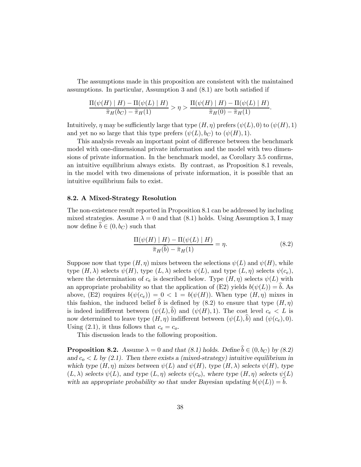The assumptions made in this proposition are consistent with the maintained assumptions. In particular, Assumption 3 and (8.1) are both satisfied if

$$
\frac{\Pi(\psi(H) \mid H) - \Pi(\psi(L) \mid H)}{\widetilde{\pi}_H(b_C) - \widetilde{\pi}_H(1)} > \eta > \frac{\Pi(\psi(H) \mid H) - \Pi(\psi(L) \mid H)}{\widetilde{\pi}_H(0) - \widetilde{\pi}_H(1)}.
$$

Intuitively,  $\eta$  may be sufficiently large that type  $(H, \eta)$  prefers  $(\psi(L), 0)$  to  $(\psi(H), 1)$ and yet no so large that this type prefers  $(\psi(L), b_C)$  to  $(\psi(H), 1)$ .

This analysis reveals an important point of difference between the benchmark model with one-dimensional private information and the model with two dimensions of private information. In the benchmark model, as Corollary 3.5 confirms, an intuitive equilibrium always exists. By contrast, as Proposition 8.1 reveals, in the model with two dimensions of private information, it is possible that an intuitive equilibrium fails to exist.

#### 8.2. A Mixed-Strategy Resolution

The non-existence result reported in Proposition 8.1 can be addressed by including mixed strategies. Assume  $\lambda = 0$  and that (8.1) holds. Using Assumption 3, I may now define  $b \in (0, b_C)$  such that

$$
\frac{\Pi(\psi(H) \mid H) - \Pi(\psi(L) \mid H)}{\widetilde{\pi}_H(\widehat{b}) - \widetilde{\pi}_H(1)} = \eta.
$$
\n(8.2)

Suppose now that type  $(H, \eta)$  mixes between the selections  $\psi(L)$  and  $\psi(H)$ , while type  $(H, \lambda)$  selects  $\psi(H)$ , type  $(L, \lambda)$  selects  $\psi(L)$ , and type  $(L, \eta)$  selects  $\psi(c_e)$ , where the determination of  $c_e$  is described below. Type  $(H, \eta)$  selects  $\psi(L)$  with an appropriate probability so that the application of (E2) yields  $b(\psi(L)) = b$ . As above, (E2) requires  $b(\psi(c_e)) = 0 < 1 = b(\psi(H))$ . When type  $(H, \eta)$  mixes in this fashion, the induced belief  $\hat{b}$  is defined by (8.2) to ensure that type  $(H, \eta)$ is indeed indifferent between  $(\psi(L),\tilde{b})$  and  $(\psi(H),1)$ . The cost level  $c_e < L$  is now determined to leave type  $(H, \eta)$  indifferent between  $(\psi(L), b)$  and  $(\psi(c_e), 0)$ . Using (2.1), it thus follows that  $c_e = c_o$ .

This discussion leads to the following proposition.

**Proposition 8.2.** Assume  $\lambda = 0$  and that (8.1) holds. Define  $\hat{b} \in (0, b_C)$  by (8.2) and  $c_0 < L$  by (2.1). Then there exists a (mixed-strategy) intuitive equilibrium in which type  $(H, \eta)$  mixes between  $\psi(L)$  and  $\psi(H)$ , type  $(H, \lambda)$  selects  $\psi(H)$ , type  $(L, \lambda)$  selects  $\psi(L)$ , and type  $(L, \eta)$  selects  $\psi(c_o)$ , where type  $(H, \eta)$  selects  $\psi(L)$ with an appropriate probability so that under Bayesian updating  $b(\psi(L)) = b$ .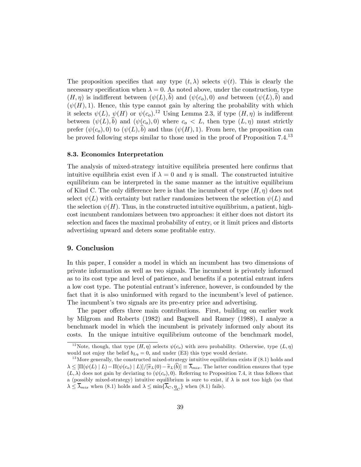The proposition specifies that any type  $(t, \lambda)$  selects  $\psi(t)$ . This is clearly the necessary specification when  $\lambda = 0$ . As noted above, under the construction, type  $(H, \eta)$  is indifferent between  $(\psi(L), \hat{b})$  and  $(\psi(c_o), 0)$  and between  $(\psi(L), \hat{b})$  and  $(\psi(H), 1)$ . Hence, this type cannot gain by altering the probability with which it selects  $\psi(L)$ ,  $\psi(H)$  or  $\psi(c_o)$ .<sup>12</sup> Using Lemma 2.3, if type  $(H, \eta)$  is indifferent between  $(\psi(L),\hat{b})$  and  $(\psi(c_o), 0)$  where  $c_o < L$ , then type  $(L, \eta)$  must strictly prefer  $(\psi(c_o), 0)$  to  $(\psi(L), b)$  and thus  $(\psi(H), 1)$ . From here, the proposition can be proved following steps similar to those used in the proof of Proposition 7.4.<sup>13</sup>

#### 8.3. Economics Interpretation

The analysis of mixed-strategy intuitive equilibria presented here confirms that intuitive equilibria exist even if  $\lambda = 0$  and  $\eta$  is small. The constructed intuitive equilibrium can be interpreted in the same manner as the intuitive equilibrium of Kind C. The only difference here is that the incumbent of type  $(H, \eta)$  does not select  $\psi(L)$  with certainty but rather randomizes between the selection  $\psi(L)$  and the selection  $\psi(H)$ . Thus, in the constructed intuitive equilibrium, a patient, highcost incumbent randomizes between two approaches: it either does not distort its selection and faces the maximal probability of entry, or it limit prices and distorts advertising upward and deters some profitable entry.

#### 9. Conclusion

In this paper, I consider a model in which an incumbent has two dimensions of private information as well as two signals. The incumbent is privately informed as to its cost type and level of patience, and benefits if a potential entrant infers a low cost type. The potential entrant's inference, however, is confounded by the fact that it is also uninformed with regard to the incumbent's level of patience. The incumbent's two signals are its pre-entry price and advertising.

The paper offers three main contributions. First, building on earlier work by Milgrom and Roberts (1982) and Bagwell and Ramey (1988), I analyze a benchmark model in which the incumbent is privately informed only about its costs. In the unique intuitive equilibrium outcome of the benchmark model,

<sup>&</sup>lt;sup>12</sup>Note, though, that type  $(H, \eta)$  selects  $\psi(c_o)$  with zero probability. Otherwise, type  $(L, \eta)$ would not enjoy the belief  $b_{L\eta} = 0$ , and under (E3) this type would deviate.

 $13$  More generally, the constructed mixed-strategy intuitive equilibrium exists if  $(8.1)$  holds and  $\lambda \leq [\Pi(\psi(L) | L) - \Pi(\psi(c_{o}) | L)] / [\tilde{\pi}_{L}(0) - \tilde{\pi}_{L}(\tilde{b})] \equiv \overline{\lambda}_{mix}$ . The latter condition ensures that type  $(L, \lambda)$  does not gain by deviating to  $(\psi(c_o), 0)$ . Referring to Proposition 7.4, it thus follows that a (possibly mixed-strategy) intuitive equilibrium is sure to exist, if  $\lambda$  is not too high (so that  $\lambda \leq \overline{\lambda}_{mix}$  when (8.1) holds and  $\lambda \leq \min{\{\overline{\lambda}_C, \eta_C\}}$  when (8.1) fails).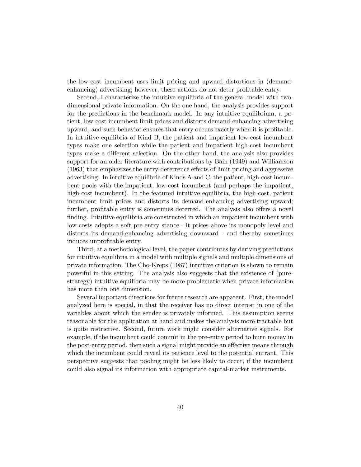the low-cost incumbent uses limit pricing and upward distortions in (demandenhancing) advertising; however, these actions do not deter profitable entry.

Second, I characterize the intuitive equilibria of the general model with twodimensional private information. On the one hand, the analysis provides support for the predictions in the benchmark model. In any intuitive equilibrium, a patient, low-cost incumbent limit prices and distorts demand-enhancing advertising upward, and such behavior ensures that entry occurs exactly when it is profitable. In intuitive equilibria of Kind B, the patient and impatient low-cost incumbent types make one selection while the patient and impatient high-cost incumbent types make a different selection. On the other hand, the analysis also provides support for an older literature with contributions by Bain (1949) and Williamson (1963) that emphasizes the entry-deterrence effects of limit pricing and aggressive advertising. In intuitive equilibria of Kinds A and C, the patient, high-cost incumbent pools with the impatient, low-cost incumbent (and perhaps the impatient, high-cost incumbent). In the featured intuitive equilibria, the high-cost, patient incumbent limit prices and distorts its demand-enhancing advertising upward; further, profitable entry is sometimes deterred. The analysis also offers a novel finding. Intuitive equilibria are constructed in which an impatient incumbent with low costs adopts a soft pre-entry stance - it prices above its monopoly level and distorts its demand-enhancing advertising downward - and thereby sometimes induces unprofitable entry.

Third, at a methodological level, the paper contributes by deriving predictions for intuitive equilibria in a model with multiple signals and multiple dimensions of private information. The Cho-Kreps (1987) intuitive criterion is shown to remain powerful in this setting. The analysis also suggests that the existence of (purestrategy) intuitive equilibria may be more problematic when private information has more than one dimension.

Several important directions for future research are apparent. First, the model analyzed here is special, in that the receiver has no direct interest in one of the variables about which the sender is privately informed. This assumption seems reasonable for the application at hand and makes the analysis more tractable but is quite restrictive. Second, future work might consider alternative signals. For example, if the incumbent could commit in the pre-entry period to burn money in the post-entry period, then such a signal might provide an effective means through which the incumbent could reveal its patience level to the potential entrant. This perspective suggests that pooling might be less likely to occur, if the incumbent could also signal its information with appropriate capital-market instruments.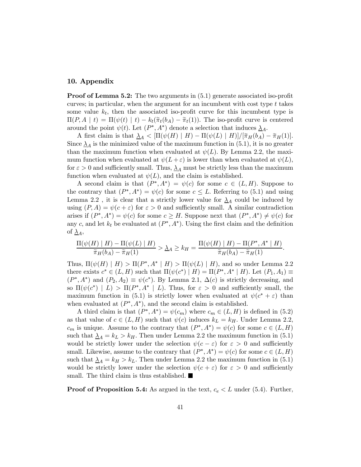#### 10. Appendix

**Proof of Lemma 5.2:** The two arguments in  $(5.1)$  generate associated iso-profit curves; in particular, when the argument for an incumbent with cost type  $t$  takes some value  $k_t$ , then the associated iso-profit curve for this incumbent type is  $\Pi(P, A \mid t) = \Pi(\psi(t) \mid t) - k_t(\tilde{\pi}_t(b_A) - \tilde{\pi}_t(1)).$  The iso-profit curve is centered around the point  $\psi(t)$ . Let  $(P^*, A^*)$  denote a selection that induces  $\underline{\lambda}_A$ .

A first claim is that  $\Delta_A < \left[\Pi(\psi(H) \mid H) - \Pi(\psi(L) \mid H)\right] / \left[\tilde{\pi}_H(b_A) - \tilde{\pi}_H(1)\right]$ . Since  $\Delta_A$  is the minimized value of the maximum function in (5.1), it is no greater than the maximum function when evaluated at  $\psi(L)$ . By Lemma 2.2, the maximum function when evaluated at  $\psi(L+\varepsilon)$  is lower than when evaluated at  $\psi(L)$ , for  $\varepsilon > 0$  and sufficiently small. Thus,  $\lambda_A$  must be strictly less than the maximum function when evaluated at  $\psi(L)$ , and the claim is established.

A second claim is that  $(P^*, A^*) = \psi(c)$  for some  $c \in (L, H)$ . Suppose to the contrary that  $(P^*, A^*) = \psi(c)$  for some  $c \leq L$ . Referring to (5.1) and using Lemma 2.2, it is clear that a strictly lower value for  $\Delta_A$  could be induced by using  $(P, A) = \psi(c + \varepsilon)$  for  $\varepsilon > 0$  and sufficiently small. A similar contradiction arises if  $(P^*, A^*) = \psi(c)$  for some  $c \geq H$ . Suppose next that  $(P^*, A^*) \neq \psi(c)$  for any c, and let  $k_t$  be evaluated at  $(P^*, A^*)$ . Using the first claim and the definition of  $\underline{\lambda}_A$ ,

$$
\frac{\Pi(\psi(H) \mid H) - \Pi(\psi(L) \mid H)}{\widetilde{\pi}_H(b_A) - \widetilde{\pi}_H(1)} > \underline{\lambda}_A \ge k_H = \frac{\Pi(\psi(H) \mid H) - \Pi(P^*, A^* \mid H)}{\widetilde{\pi}_H(b_A) - \widetilde{\pi}_H(1)}.
$$

Thus,  $\Pi(\psi(H) | H) > \Pi(P^*, A^* | H) > \Pi(\psi(L) | H)$ , and so under Lemma 2.2 there exists  $c^* \in (L, H)$  such that  $\Pi(\psi(c^*) | H) = \Pi(P^*, A^* | H)$ . Let  $(P_1, A_1) \equiv$  $(P^*, A^*)$  and  $(P_2, A_2) \equiv \psi(c^*)$ . By Lemma 2.1,  $\Delta(c)$  is strictly decreasing, and so  $\Pi(\psi(c^*) | L) > \Pi(P^*, A^* | L)$ . Thus, for  $\varepsilon > 0$  and sufficiently small, the maximum function in (5.1) is strictly lower when evaluated at  $\psi(c^* + \varepsilon)$  than when evaluated at  $(P^*, A^*)$ , and the second claim is established.

A third claim is that  $(P^*, A^*) = \psi(c_m)$  where  $c_m \in (L, H)$  is defined in (5.2) as that value of  $c \in (L, H)$  such that  $\psi(c)$  induces  $k_L = k_H$ . Under Lemma 2.2,  $c_m$  is unique. Assume to the contrary that  $(P^*, A^*) = \psi(c)$  for some  $c \in (L, H)$ such that  $\Delta_A = k_L > k_H$ . Then under Lemma 2.2 the maximum function in (5.1) would be strictly lower under the selection  $\psi(c - \varepsilon)$  for  $\varepsilon > 0$  and sufficiently small. Likewise, assume to the contrary that  $(P^*, A^*) = \psi(c)$  for some  $c \in (L, H)$ such that  $\Delta_A = k_H > k_L$ . Then under Lemma 2.2 the maximum function in (5.1) would be strictly lower under the selection  $\psi(c+\varepsilon)$  for  $\varepsilon > 0$  and sufficiently small. The third claim is thus established.

**Proof of Proposition 5.4:** As argued in the text,  $c_e < L$  under (5.4). Further,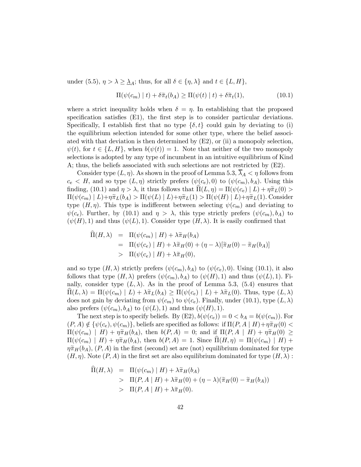under (5.5),  $\eta > \lambda \geq \underline{\lambda}_A$ ; thus, for all  $\delta \in {\eta, \lambda}$  and  $t \in {\{L, H\}},$ 

$$
\Pi(\psi(c_m) \mid t) + \delta \tilde{\pi}_t(b_A) \ge \Pi(\psi(t) \mid t) + \delta \tilde{\pi}_t(1), \tag{10.1}
$$

where a strict inequality holds when  $\delta = \eta$ . In establishing that the proposed specification satisfies (E1), the first step is to consider particular deviations. Specifically, I establish first that no type  $\{\delta, t\}$  could gain by deviating to (i) the equilibrium selection intended for some other type, where the belief associated with that deviation is then determined by  $(E2)$ , or (ii) a monopoly selection,  $\psi(t)$ , for  $t \in \{L, H\}$ , when  $b(\psi(t)) = 1$ . Note that neither of the two monopoly selections is adopted by any type of incumbent in an intuitive equilibrium of Kind A; thus, the beliefs associated with such selections are not restricted by (E2).

Consider type  $(L, \eta)$ . As shown in the proof of Lemma 5.3,  $\overline{\lambda}_A < \eta$  follows from  $c_e < H$ , and so type  $(L, \eta)$  strictly prefers  $(\psi(c_e), 0)$  to  $(\psi(c_m), b_A)$ . Using this finding, (10.1) and  $\eta > \lambda$ , it thus follows that  $\Pi(L, \eta) = \Pi(\psi(c_e) | L) + \eta \tilde{\pi}_L(0) >$  $\Pi(\psi(c_m) | L)+\eta\tilde{\pi}_L(b_A) > \Pi(\psi(L) | L)+\eta\tilde{\pi}_L(1) > \Pi(\psi(H) | L)+\eta\tilde{\pi}_L(1)$ . Consider type  $(H, \eta)$ . This type is indifferent between selecting  $\psi(c_m)$  and deviating to  $\psi(c_e)$ . Further, by (10.1) and  $\eta > \lambda$ , this type strictly prefers  $(\psi(c_m), b_A)$  to  $(\psi(H), 1)$  and thus  $(\psi(L), 1)$ . Consider type  $(H, \lambda)$ . It is easily confirmed that

$$
\begin{array}{rcl}\n\hat{\Pi}(H,\lambda) & = & \Pi(\psi(c_m) \mid H) + \lambda \tilde{\pi}_H(b_A) \\
& = & \Pi(\psi(c_e) \mid H) + \lambda \tilde{\pi}_H(0) + (\eta - \lambda)[\tilde{\pi}_H(0) - \tilde{\pi}_H(b_A)] \\
& > & \Pi(\psi(c_e) \mid H) + \lambda \tilde{\pi}_H(0),\n\end{array}
$$

and so type  $(H, \lambda)$  strictly prefers  $(\psi(c_m), b_A)$  to  $(\psi(c_e), 0)$ . Using (10.1), it also follows that type  $(H, \lambda)$  prefers  $(\psi(c_m), b_A)$  to  $(\psi(H), 1)$  and thus  $(\psi(L), 1)$ . Finally, consider type  $(L, \lambda)$ . As in the proof of Lemma 5.3, (5.4) ensures that  $\Pi(L, \lambda) = \Pi(\psi(c_m) | L) + \lambda \tilde{\pi}_L(b_A) \geq \Pi(\psi(c_e) | L) + \lambda \tilde{\pi}_L(0)$ . Thus, type  $(L, \lambda)$ does not gain by deviating from  $\psi(c_m)$  to  $\psi(c_e)$ . Finally, under (10.1), type  $(L, \lambda)$ also prefers  $(\psi(c_m), b_A)$  to  $(\psi(L), 1)$  and thus  $(\psi(H), 1)$ .

The next step is to specify beliefs. By  $(E2)$ ,  $b(\psi(c_e)) = 0 < b<sub>A</sub> = b(\psi(c_m))$ . For  $(P, A) \notin {\psi(c_e), \psi(c_m)}$ , beliefs are specified as follows: if  $\Pi(P, A | H) + \eta \tilde{\pi}_H(0)$  $\Pi(\psi(c_m) \mid H) + \eta \tilde{\pi}_H(b_A)$ , then  $b(P, A) = 0$ ; and if  $\Pi(P, A \mid H) + \eta \tilde{\pi}_H(0) \ge$  $\Pi(\psi(c_m) | H) + \eta \tilde{\pi}_H(b_A)$ , then  $b(P, A) = 1$ . Since  $\widehat{\Pi}(H, \eta) = \Pi(\psi(c_m) | H) +$  $\eta \tilde{\pi}_H(b_A)$ ,  $(P, A)$  in the first (second) set are (not) equilibrium dominated for type  $(H, \eta)$ . Note  $(P, A)$  in the first set are also equilibrium dominated for type  $(H, \lambda)$ :

$$
\begin{aligned} \n\hat{\Pi}(H,\lambda) &= \Pi(\psi(c_m) \mid H) + \lambda \tilde{\pi}_H(b_A) \\ \n&> \Pi(P,A \mid H) + \lambda \tilde{\pi}_H(0) + (\eta - \lambda)(\tilde{\pi}_H(0) - \tilde{\pi}_H(b_A)) \\ \n&> \Pi(P,A \mid H) + \lambda \tilde{\pi}_H(0). \n\end{aligned}
$$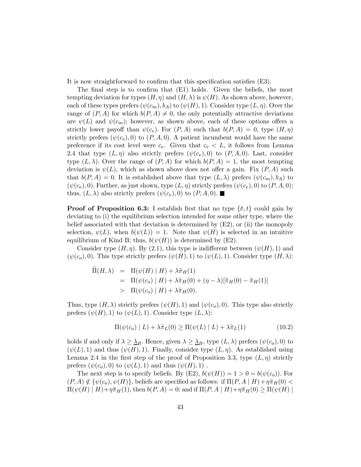It is now straightforward to confirm that this specification satisfies (E3).

The final step is to confirm that (E1) holds. Given the beliefs, the most tempting deviation for types  $(H, \eta)$  and  $(H, \lambda)$  is  $\psi(H)$ . As shown above, however, each of these types prefers  $(\psi(c_m), b_A)$  to  $(\psi(H), 1)$ . Consider type  $(L, \eta)$ . Over the range of  $(P, A)$  for which  $b(P, A) \neq 0$ , the only potentially attractive deviations are  $\psi(L)$  and  $\psi(c_m)$ ; however, as shown above, each of these options offers a strictly lower payoff than  $\psi(c_e)$ . For  $(P, A)$  such that  $b(P, A)=0$ , type  $(H, \eta)$ strictly prefers ( $\psi(c_e)$ , 0) to  $(P, A, 0)$ . A patient incumbent would have the same preference if its cost level were  $c_e$ . Given that  $c_e < L$ , it follows from Lemma 2.4 that type  $(L, \eta)$  also strictly prefers  $(\psi(c_e), 0)$  to  $(P, A, 0)$ . Last, consider type  $(L, \lambda)$ . Over the range of  $(P, A)$  for which  $b(P, A)=1$ , the most tempting deviation is  $\psi(L)$ , which as shown above does not offer a gain. Fix  $(P, A)$  such that  $b(P, A)=0$ . It is established above that type  $(L, \lambda)$  prefers  $(\psi(c_m), b_A)$  to  $(\psi(c_e), 0)$ . Further, as just shown, type  $(L, \eta)$  strictly prefers  $(\psi(c_e), 0)$  to  $(P, A, 0)$ ; thus,  $(L, \lambda)$  also strictly prefers  $(\psi(c_e), 0)$  to  $(P, A, 0)$ .

**Proof of Proposition 6.3:** I establish first that no type  $\{\delta, t\}$  could gain by deviating to (i) the equilibrium selection intended for some other type, where the belief associated with that deviation is determined by  $(E2)$ , or (ii) the monopoly selection,  $\psi(L)$ , when  $b(\psi(L)) = 1$ . Note that  $\psi(H)$  is selected in an intuitive equilibrium of Kind B; thus,  $b(\psi(H))$  is determined by (E2).

Consider type  $(H, \eta)$ . By (2.1), this type is indifferent between  $(\psi(H), 1)$  and  $(\psi(c_o), 0)$ . This type strictly prefers  $(\psi(H), 1)$  to  $(\psi(L), 1)$ . Consider type  $(H, \lambda)$ :

$$
\begin{array}{rcl}\n\hat{\Pi}(H,\lambda) & = & \Pi(\psi(H) \mid H) + \lambda \tilde{\pi}_H(1) \\
& = & \Pi(\psi(c_o) \mid H) + \lambda \tilde{\pi}_H(0) + (\eta - \lambda)[\tilde{\pi}_H(0) - \tilde{\pi}_H(1)] \\
& > & \Pi(\psi(c_o) \mid H) + \lambda \tilde{\pi}_H(0).\n\end{array}
$$

Thus, type  $(H, \lambda)$  strictly prefers  $(\psi(H), 1)$  and  $(\psi(c_o), 0)$ . This type also strictly prefers  $(\psi(H), 1)$  to  $(\psi(L), 1)$ . Consider type  $(L, \lambda)$ :

$$
\Pi(\psi(c_o) | L) + \lambda \tilde{\pi}_L(0) \ge \Pi(\psi(L) | L) + \lambda \tilde{\pi}_L(1)
$$
\n(10.2)

holds if and only if  $\lambda \geq \underline{\lambda}_B$ . Hence, given  $\lambda \geq \underline{\lambda}_B$ , type  $(L, \lambda)$  prefers  $(\psi(c_o), 0)$  to  $(\psi(L), 1)$  and thus  $(\psi(H), 1)$ . Finally, consider type  $(L, \eta)$ . As established using Lemma 2.4 in the first step of the proof of Proposition 3.3, type  $(L, \eta)$  strictly prefers  $(\psi(c_o), 0)$  to  $(\psi(L), 1)$  and thus  $(\psi(H), 1)$ .

The next step is to specify beliefs. By (E2),  $b(\psi(H)) = 1 > 0 = b(\psi(c_o))$ . For  $(P, A) \notin {\psi(c_o), \psi(H)}$ , beliefs are specified as follows: if  $\Pi(P, A | H) + \eta \tilde{\pi}_H(0)$  $\Pi(\psi(H) \mid H) + \eta \tilde{\pi}_H(1)$ , then  $b(P, A) = 0$ ; and if  $\Pi(P, A \mid H) + \eta \tilde{\pi}_H(0) \ge \Pi(\psi(H) \mid$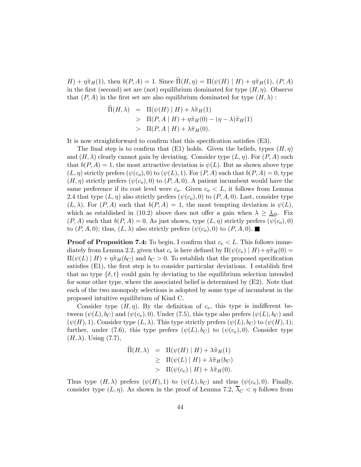$H$ ) +  $\eta \tilde{\pi}_H(1)$ , then  $b(P, A) = 1$ . Since  $\widehat{\Pi}(H, \eta) = \Pi(\psi(H) | H) + \eta \tilde{\pi}_H(1)$ ,  $(P, A)$ in the first (second) set are (not) equilibrium dominated for type  $(H, \eta)$ . Observe that  $(P, A)$  in the first set are also equilibrium dominated for type  $(H, \lambda)$ :

$$
\widehat{\Pi}(H,\lambda) = \Pi(\psi(H) | H) + \lambda \widetilde{\pi}_H(1)
$$
\n
$$
> \Pi(P, A | H) + \eta \widetilde{\pi}_H(0) - (\eta - \lambda) \widetilde{\pi}_H(1)
$$
\n
$$
> \Pi(P, A | H) + \lambda \widetilde{\pi}_H(0).
$$

It is now straightforward to confirm that this specification satisfies (E3).

The final step is to confirm that (E1) holds. Given the beliefs, types  $(H, \eta)$ and  $(H, \lambda)$  clearly cannot gain by deviating. Consider type  $(L, \eta)$ . For  $(P, A)$  such that  $b(P, A)=1$ , the most attractive deviation is  $\psi(L)$ . But as shown above type  $(L, \eta)$  strictly prefers  $(\psi(c_o), 0)$  to  $(\psi(L), 1)$ . For  $(P, A)$  such that  $b(P, A)=0$ , type  $(H, \eta)$  strictly prefers  $(\psi(c_o), 0)$  to  $(P, A, 0)$ . A patient incumbent would have the same preference if its cost level were  $c_0$ . Given  $c_0 < L$ , it follows from Lemma 2.4 that type  $(L, \eta)$  also strictly prefers  $(\psi(c_o), 0)$  to  $(P, A, 0)$ . Last, consider type  $(L, \lambda)$ . For  $(P, A)$  such that  $b(P, A)=1$ , the most tempting deviation is  $\psi(L)$ , which as established in (10.2) above does not offer a gain when  $\lambda \geq \underline{\lambda}_B$ . Fix  $(P, A)$  such that  $b(P, A)=0$ . As just shown, type  $(L, \eta)$  strictly prefers  $(\psi(c_o), 0)$ to  $(P, A, 0)$ ; thus,  $(L, \lambda)$  also strictly prefers  $(\psi(c_o), 0)$  to  $(P, A, 0)$ .

**Proof of Proposition 7.4:** To begin, I confirm that  $c_e < L$ . This follows immediately from Lemma 2.2, given that  $c_e$  is here defined by  $\Pi(\psi(c_e) | H) + \eta \tilde{\pi}_H(0) =$  $\Pi(\psi(L) \mid H) + \eta \tilde{\pi}_H(b_C)$  and  $b_C > 0$ . To establish that the proposed specification satisfies (E1), the first step is to consider particular deviations. I establish first that no type  $\{\delta, t\}$  could gain by deviating to the equilibrium selection intended for some other type, where the associated belief is determined by (E2). Note that each of the two monopoly selections is adopted by some type of incumbent in the proposed intuitive equilibrium of Kind C.

Consider type  $(H, \eta)$ . By the definition of  $c_e$ , this type is indifferent between  $(\psi(L), b_C)$  and  $(\psi(c_e), 0)$ . Under (7.5), this type also prefers  $(\psi(L), b_C)$  and  $(\psi(H), 1)$ . Consider type  $(L, \lambda)$ . This type strictly prefers  $(\psi(L), b_C)$  to  $(\psi(H), 1)$ ; further, under (7.6), this type prefers  $(\psi(L), b_C)$  to  $(\psi(c_e), 0)$ . Consider type  $(H, \lambda)$ . Using  $(7.7)$ ,

$$
\Pi(H, \lambda) = \Pi(\psi(H) | H) + \lambda \tilde{\pi}_H(1)
$$
\n
$$
\geq \Pi(\psi(L) | H) + \lambda \tilde{\pi}_H(b_C)
$$
\n
$$
> \Pi(\psi(c_e) | H) + \lambda \tilde{\pi}_H(0).
$$

Thus type  $(H, \lambda)$  prefers  $(\psi(H), 1)$  to  $(\psi(L), b_C)$  and thus  $(\psi(c_e), 0)$ . Finally, consider type  $(L, \eta)$ . As shown in the proof of Lemma 7.2,  $\overline{\lambda}_C < \eta$  follows from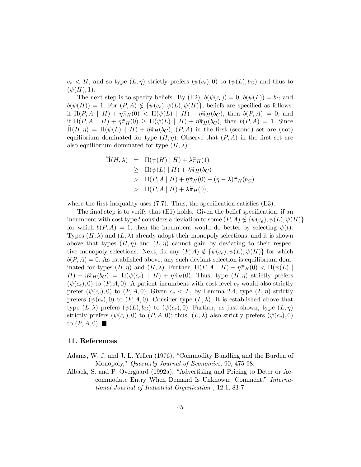$c_e \lt H$ , and so type  $(L, \eta)$  strictly prefers  $(\psi(c_e), 0)$  to  $(\psi(L), b_C)$  and thus to  $(\psi(H), 1).$ 

The next step is to specify beliefs. By  $(E2)$ ,  $b(\psi(c_e)) = 0$ ,  $b(\psi(L)) = b<sub>C</sub>$  and  $b(\psi(H)) = 1$ . For  $(P, A) \notin {\psi(c_e), \psi(L), \psi(H)}$ , beliefs are specified as follows: if  $\Pi(P, A \mid H) + \eta \tilde{\pi}_H(0) < \Pi(\psi(L) \mid H) + \eta \tilde{\pi}_H(b_C)$ , then  $b(P, A) = 0$ ; and if  $\Pi(P, A \mid H) + \eta \tilde{\pi}_H(0) \geq \Pi(\psi(L) \mid H) + \eta \tilde{\pi}_H(b_C)$ , then  $b(P, A) = 1$ . Since  $\Pi(H, \eta) = \Pi(\psi(L) | H) + \eta \tilde{\pi}_H(b_C), (P, A)$  in the first (second) set are (not) equilibrium dominated for type  $(H, \eta)$ . Observe that  $(P, A)$  in the first set are also equilibrium dominated for type  $(H, \lambda)$ :

$$
\begin{array}{rcl}\n\hat{\Pi}(H,\lambda) & = & \Pi(\psi(H) \mid H) + \lambda \tilde{\pi}_H(1) \\
& \geq & \Pi(\psi(L) \mid H) + \lambda \tilde{\pi}_H(b_C) \\
& > & \Pi(P,A \mid H) + \eta \tilde{\pi}_H(0) - (\eta - \lambda) \tilde{\pi}_H(b_C) \\
& > & \Pi(P,A \mid H) + \lambda \tilde{\pi}_H(0),\n\end{array}
$$

where the first inequality uses  $(7.7)$ . Thus, the specification satisfies  $(E3)$ .

The final step is to verify that (E1) holds. Given the belief specification, if an incumbent with cost type t considers a deviation to some  $(P, A) \notin \{ \psi(c_e), \psi(L), \psi(H) \}$ for which  $b(P, A)=1$ , then the incumbent would do better by selecting  $\psi(t)$ . Types  $(H, \lambda)$  and  $(L, \lambda)$  already adopt their monopoly selections, and it is shown above that types  $(H, \eta)$  and  $(L, \eta)$  cannot gain by deviating to their respective monopoly selections. Next, fix any  $(P, A) \notin \{ \psi(c_e), \psi(L), \psi(H) \}$  for which  $b(P, A) = 0$ . As established above, any such deviant selection is equilibrium dominated for types  $(H, \eta)$  and  $(H, \lambda)$ . Further,  $\Pi(P, A | H) + \eta \tilde{\pi}_H(0) < \Pi(\psi(L))$  $H$ ) +  $\eta \tilde{\pi}_H(b_C) = \Pi(\psi(c_e) \mid H) + \eta \tilde{\pi}_H(0)$ . Thus, type  $(H, \eta)$  strictly prefers  $(\psi(c_e), 0)$  to  $(P, A, 0)$ . A patient incumbent with cost level  $c_e$  would also strictly prefer  $(\psi(c_e), 0)$  to  $(P, A, 0)$ . Given  $c_e < L$ , by Lemma 2.4, type  $(L, \eta)$  strictly prefers  $(\psi(c_e), 0)$  to  $(P, A, 0)$ . Consider type  $(L, \lambda)$ . It is established above that type  $(L, \lambda)$  prefers  $(\psi(L), b_C)$  to  $(\psi(c_e), 0)$ . Further, as just shown, type  $(L, \eta)$ strictly prefers  $(\psi(c_e), 0)$  to  $(P, A, 0)$ ; thus,  $(L, \lambda)$  also strictly prefers  $(\psi(c_e), 0)$ to  $(P, A, 0)$ .

#### 11. References

- Adams, W. J. and J. L. Yellen (1976), "Commodity Bundling and the Burden of Monopoly," Quarterly Journal of Economics, 90, 475-98.
- Albaek, S. and P. Overgaard (1992a), "Advertising and Pricing to Deter or Accommodate Entry When Demand Is Unknown: Comment," International Journal of Industrial Organization , 12.1, 83-7.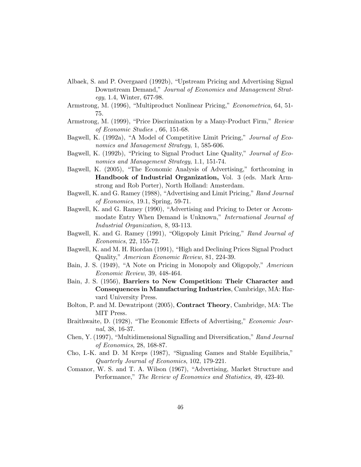- Albaek, S. and P. Overgaard (1992b), "Upstream Pricing and Advertising Signal Downstream Demand," Journal of Economics and Management Strategy, 1.4, Winter, 677-98.
- Armstrong, M. (1996), "Multiproduct Nonlinear Pricing," Econometrica, 64, 51- 75.
- Armstrong, M. (1999), "Price Discrimination by a Many-Product Firm," Review of Economic Studies , 66, 151-68.
- Bagwell, K. (1992a), "A Model of Competitive Limit Pricing," Journal of Economics and Management Strategy, 1, 585-606.
- Bagwell, K. (1992b), "Pricing to Signal Product Line Quality," Journal of Economics and Management Strategy, 1.1, 151-74.
- Bagwell, K. (2005), "The Economic Analysis of Advertising," forthcoming in Handbook of Industrial Organization, Vol. 3 (eds. Mark Armstrong and Rob Porter), North Holland: Amsterdam.
- Bagwell, K. and G. Ramey (1988), "Advertising and Limit Pricing," Rand Journal of Economics, 19.1, Spring, 59-71.
- Bagwell, K. and G. Ramey (1990), "Advertising and Pricing to Deter or Accommodate Entry When Demand is Unknown," International Journal of Industrial Organization, 8, 93-113.
- Bagwell, K. and G. Ramey (1991), "Oligopoly Limit Pricing," Rand Journal of Economics, 22, 155-72.
- Bagwell, K. and M. H. Riordan (1991), "High and Declining Prices Signal Product Quality," American Economic Review, 81, 224-39.
- Bain, J. S. (1949), "A Note on Pricing in Monopoly and Oligopoly," American Economic Review, 39, 448-464.
- Bain, J. S. (1956), Barriers to New Competition: Their Character and Consequences in Manufacturing Industries, Cambridge, MA: Harvard University Press.
- Bolton, P. and M. Dewatripont (2005), Contract Theory, Cambridge, MA: The MIT Press.
- Braithwaite, D. (1928), "The Economic Effects of Advertising," Economic Journal, 38, 16-37.
- Chen, Y. (1997), "Multidimensional Signalling and Diversification," Rand Journal of Economics, 28, 168-87.
- Cho, I.-K. and D. M Kreps (1987), "Signaling Games and Stable Equilibria," Quarterly Journal of Economics, 102, 179-221.
- Comanor, W. S. and T. A. Wilson (1967), "Advertising, Market Structure and Performance," The Review of Economics and Statistics, 49, 423-40.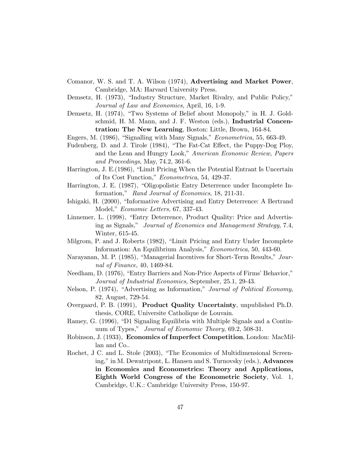- Comanor, W. S. and T. A. Wilson (1974), Advertising and Market Power, Cambridge, MA: Harvard University Press.
- Demsetz, H. (1973), "Industry Structure, Market Rivalry, and Public Policy," Journal of Law and Economics, April, 16, 1-9.
- Demsetz, H. (1974), "Two Systems of Belief about Monopoly," in H. J. Goldschmid, H. M. Mann, and J. F. Weston (eds.), Industrial Concentration: The New Learning, Boston: Little, Brown, 164-84.
- Engers, M. (1986), "Signalling with Many Signals," Econometrica, 55, 663-49.
- Fudenberg, D. and J. Tirole (1984), "The Fat-Cat Effect, the Puppy-Dog Ploy, and the Lean and Hungry Look," American Economic Review, Papers and Proceedings, May, 74.2, 361-6.
- Harrington, J. E.(1986), "Limit Pricing When the Potential Entrant Is Uncertain of Its Cost Function," Econometrica, 54, 429-37.
- Harrington, J. E. (1987), "Oligopolistic Entry Deterrence under Incomplete Information," Rand Journal of Economics, 18, 211-31.
- Ishigaki, H. (2000), "Informative Advertising and Entry Deterrence: A Bertrand Model," Economic Letters, 67, 337-43.
- Linnemer, L. (1998), "Entry Deterrence, Product Quality: Price and Advertising as Signals," Journal of Economics and Management Strategy, 7.4, Winter, 615-45.
- Milgrom, P. and J. Roberts (1982), "Limit Pricing and Entry Under Incomplete Information: An Equilibrium Analysis," Econometrica, 50, 443-60.
- Narayanan, M. P. (1985), "Managerial Incentives for Short-Term Results," Journal of Finance, 40, 1469-84.
- Needham, D. (1976), "Entry Barriers and Non-Price Aspects of Firms' Behavior," Journal of Industrial Economics, September, 25.1, 29-43.
- Nelson, P. (1974), "Advertising as Information," *Journal of Political Economy*, 82, August, 729-54.
- Overgaard, P. B. (1991), Product Quality Uncertainty, unpublished Ph.D. thesis, CORE, Universite Catholique de Louvain.
- Ramey, G. (1996), "D1 Signaling Equilibria with Multiple Signals and a Continuum of Types," Journal of Economic Theory, 69.2, 508-31.
- Robinson, J. (1933), Economics of Imperfect Competition, London: MacMillan and Co..
- Rochet, J C. and L. Stole (2003), "The Economics of Multidimensional Screening," in M. Dewatripont, L. Hansen and S. Turnovsky (eds.), Advances in Economics and Econometrics: Theory and Applications, Eighth World Congress of the Econometric Society, Vol. 1, Cambridge, U.K.: Cambridge University Press, 150-97.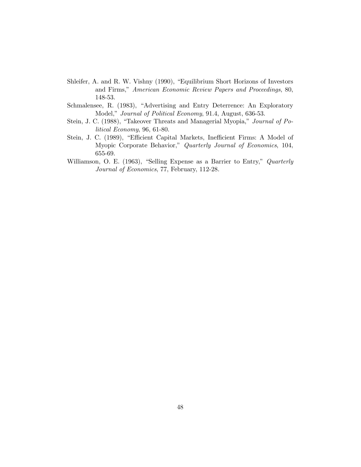- Shleifer, A. and R. W. Vishny (1990), "Equilibrium Short Horizons of Investors and Firms," American Economic Review Papers and Proceedings, 80, 148-53.
- Schmalensee, R. (1983), "Advertising and Entry Deterrence: An Exploratory Model," Journal of Political Economy, 91.4, August, 636-53.
- Stein, J. C. (1988), "Takeover Threats and Managerial Myopia," Journal of Political Economy, 96, 61-80.
- Stein, J. C. (1989), "Efficient Capital Markets, Inefficient Firms: A Model of Myopic Corporate Behavior," Quarterly Journal of Economics, 104, 655-69.
- Williamson, O. E. (1963), "Selling Expense as a Barrier to Entry," Quarterly Journal of Economics, 77, February, 112-28.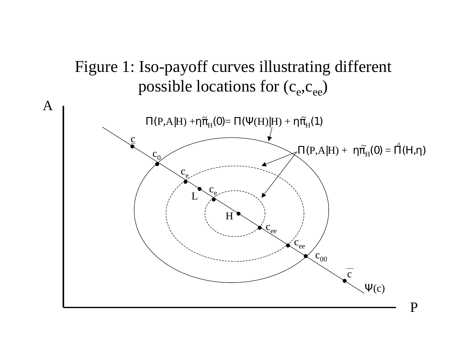# Figure 1: Iso-payoff curves illustrating different possible locations for (c<sub>e</sub>,c<sub>ee</sub>)